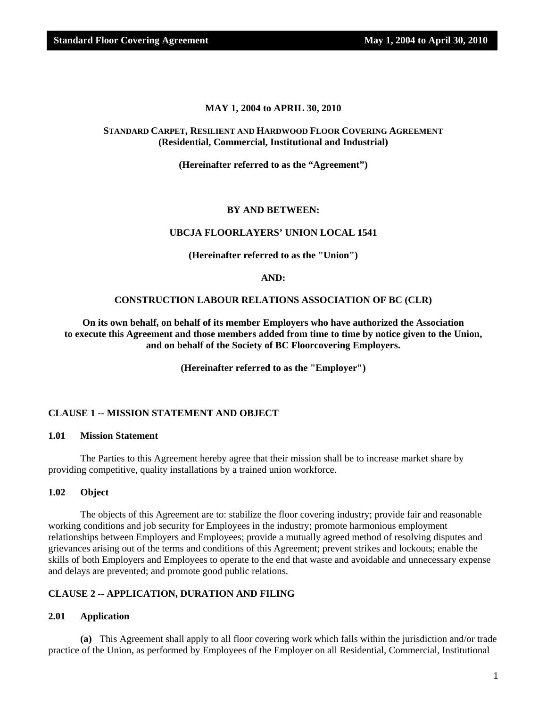#### **MAY 1, 2004 to APRIL 30, 2010**

#### **STANDARD CARPET, RESILIENT AND HARDWOOD FLOOR COVERING AGREEMENT (Residential, Commercial, Institutional and Industrial)**

**(Hereinafter referred to as the "Agreement")** 

#### **BY AND BETWEEN:**

#### **UBCJA FLOORLAYERS' UNION LOCAL 1541**

**(Hereinafter referred to as the "Union")** 

#### **AND:**

#### **CONSTRUCTION LABOUR RELATIONS ASSOCIATION OF BC (CLR)**

**On its own behalf, on behalf of its member Employers who have authorized the Association to execute this Agreement and those members added from time to time by notice given to the Union, and on behalf of the Society of BC Floorcovering Employers.** 

**(Hereinafter referred to as the "Employer")**

#### **CLAUSE 1 -- MISSION STATEMENT AND OBJECT**

#### **1.01 Mission Statement**

 The Parties to this Agreement hereby agree that their mission shall be to increase market share by providing competitive, quality installations by a trained union workforce.

#### **1.02 Object**

 The objects of this Agreement are to: stabilize the floor covering industry; provide fair and reasonable working conditions and job security for Employees in the industry; promote harmonious employment relationships between Employers and Employees; provide a mutually agreed method of resolving disputes and grievances arising out of the terms and conditions of this Agreement; prevent strikes and lockouts; enable the skills of both Employers and Employees to operate to the end that waste and avoidable and unnecessary expense and delays are prevented; and promote good public relations.

#### **CLAUSE 2 -- APPLICATION, DURATION AND FILING**

#### **2.01 Application**

**(a)** This Agreement shall apply to all floor covering work which falls within the jurisdiction and/or trade practice of the Union, as performed by Employees of the Employer on all Residential, Commercial, Institutional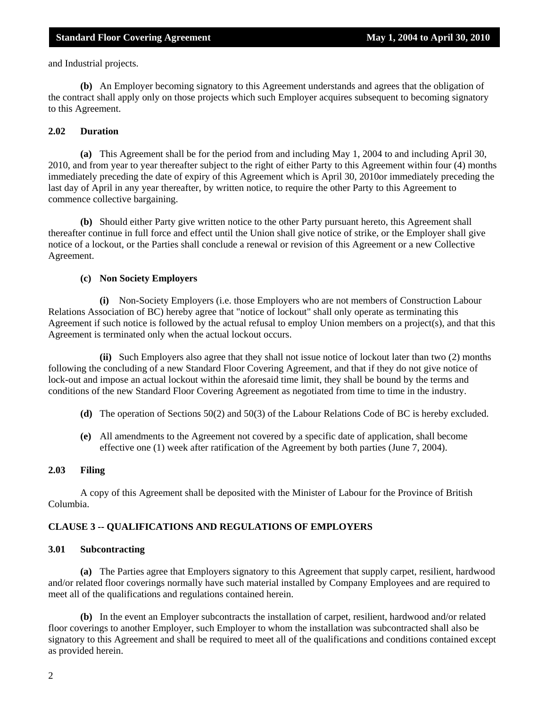and Industrial projects.

**(b)** An Employer becoming signatory to this Agreement understands and agrees that the obligation of the contract shall apply only on those projects which such Employer acquires subsequent to becoming signatory to this Agreement.

#### **2.02 Duration**

**(a)** This Agreement shall be for the period from and including May 1, 2004 to and including April 30, 2010, and from year to year thereafter subject to the right of either Party to this Agreement within four (4) months immediately preceding the date of expiry of this Agreement which is April 30, 2010or immediately preceding the last day of April in any year thereafter, by written notice, to require the other Party to this Agreement to commence collective bargaining.

**(b)** Should either Party give written notice to the other Party pursuant hereto, this Agreement shall thereafter continue in full force and effect until the Union shall give notice of strike, or the Employer shall give notice of a lockout, or the Parties shall conclude a renewal or revision of this Agreement or a new Collective Agreement.

#### **(c) Non Society Employers**

 **(i)** Non-Society Employers (i.e. those Employers who are not members of Construction Labour Relations Association of BC) hereby agree that "notice of lockout" shall only operate as terminating this Agreement if such notice is followed by the actual refusal to employ Union members on a project(s), and that this Agreement is terminated only when the actual lockout occurs.

 **(ii)** Such Employers also agree that they shall not issue notice of lockout later than two (2) months following the concluding of a new Standard Floor Covering Agreement, and that if they do not give notice of lock-out and impose an actual lockout within the aforesaid time limit, they shall be bound by the terms and conditions of the new Standard Floor Covering Agreement as negotiated from time to time in the industry.

- **(d)** The operation of Sections 50(2) and 50(3) of the Labour Relations Code of BC is hereby excluded.
- **(e)** All amendments to the Agreement not covered by a specific date of application, shall become effective one (1) week after ratification of the Agreement by both parties (June 7, 2004).

#### **2.03 Filing**

 A copy of this Agreement shall be deposited with the Minister of Labour for the Province of British Columbia.

#### **CLAUSE 3 -- QUALIFICATIONS AND REGULATIONS OF EMPLOYERS**

#### **3.01 Subcontracting**

**(a)** The Parties agree that Employers signatory to this Agreement that supply carpet, resilient, hardwood and/or related floor coverings normally have such material installed by Company Employees and are required to meet all of the qualifications and regulations contained herein.

**(b)** In the event an Employer subcontracts the installation of carpet, resilient, hardwood and/or related floor coverings to another Employer, such Employer to whom the installation was subcontracted shall also be signatory to this Agreement and shall be required to meet all of the qualifications and conditions contained except as provided herein.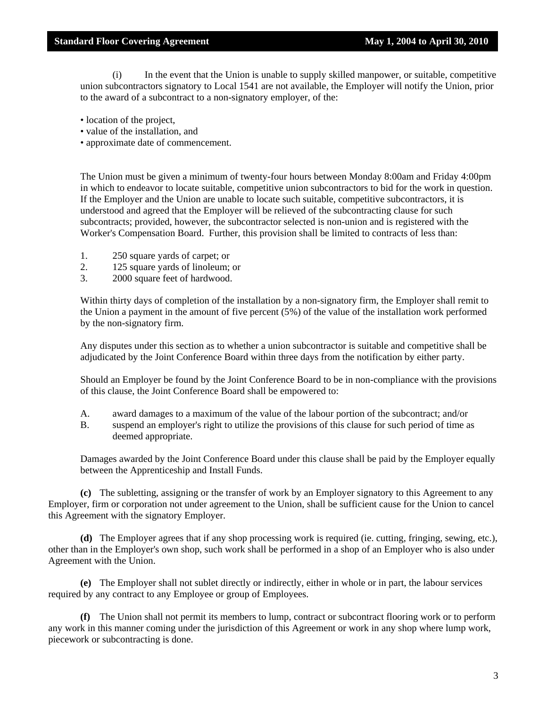(i) In the event that the Union is unable to supply skilled manpower, or suitable, competitive union subcontractors signatory to Local 1541 are not available, the Employer will notify the Union, prior to the award of a subcontract to a non-signatory employer, of the:

- location of the project,
- value of the installation, and
- approximate date of commencement.

The Union must be given a minimum of twenty-four hours between Monday 8:00am and Friday 4:00pm in which to endeavor to locate suitable, competitive union subcontractors to bid for the work in question. If the Employer and the Union are unable to locate such suitable, competitive subcontractors, it is understood and agreed that the Employer will be relieved of the subcontracting clause for such subcontracts; provided, however, the subcontractor selected is non-union and is registered with the Worker's Compensation Board. Further, this provision shall be limited to contracts of less than:

- 1. 250 square yards of carpet; or
- 2. 125 square yards of linoleum; or
- 3. 2000 square feet of hardwood.

Within thirty days of completion of the installation by a non-signatory firm, the Employer shall remit to the Union a payment in the amount of five percent (5%) of the value of the installation work performed by the non-signatory firm.

Any disputes under this section as to whether a union subcontractor is suitable and competitive shall be adjudicated by the Joint Conference Board within three days from the notification by either party.

Should an Employer be found by the Joint Conference Board to be in non-compliance with the provisions of this clause, the Joint Conference Board shall be empowered to:

- A. award damages to a maximum of the value of the labour portion of the subcontract; and/or
- B. suspend an employer's right to utilize the provisions of this clause for such period of time as deemed appropriate.

Damages awarded by the Joint Conference Board under this clause shall be paid by the Employer equally between the Apprenticeship and Install Funds.

**(c)** The subletting, assigning or the transfer of work by an Employer signatory to this Agreement to any Employer, firm or corporation not under agreement to the Union, shall be sufficient cause for the Union to cancel this Agreement with the signatory Employer.

**(d)** The Employer agrees that if any shop processing work is required (ie. cutting, fringing, sewing, etc.), other than in the Employer's own shop, such work shall be performed in a shop of an Employer who is also under Agreement with the Union.

**(e)** The Employer shall not sublet directly or indirectly, either in whole or in part, the labour services required by any contract to any Employee or group of Employees.

**(f)** The Union shall not permit its members to lump, contract or subcontract flooring work or to perform any work in this manner coming under the jurisdiction of this Agreement or work in any shop where lump work, piecework or subcontracting is done.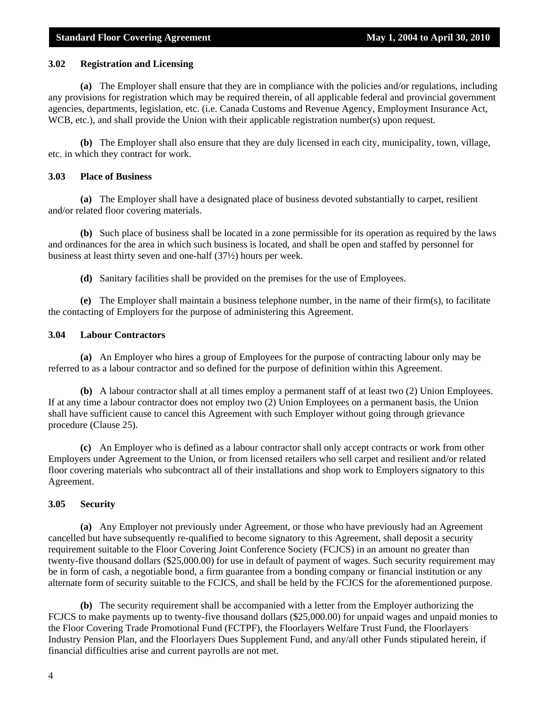#### **3.02 Registration and Licensing**

**(a)** The Employer shall ensure that they are in compliance with the policies and/or regulations, including any provisions for registration which may be required therein, of all applicable federal and provincial government agencies, departments, legislation, etc. (i.e. Canada Customs and Revenue Agency, Employment Insurance Act, WCB, etc.), and shall provide the Union with their applicable registration number(s) upon request.

**(b)** The Employer shall also ensure that they are duly licensed in each city, municipality, town, village, etc. in which they contract for work.

#### **3.03 Place of Business**

**(a)** The Employer shall have a designated place of business devoted substantially to carpet, resilient and/or related floor covering materials.

**(b)** Such place of business shall be located in a zone permissible for its operation as required by the laws and ordinances for the area in which such business is located, and shall be open and staffed by personnel for business at least thirty seven and one-half (37½) hours per week.

**(d)** Sanitary facilities shall be provided on the premises for the use of Employees.

**(e)** The Employer shall maintain a business telephone number, in the name of their firm(s), to facilitate the contacting of Employers for the purpose of administering this Agreement.

#### **3.04 Labour Contractors**

**(a)** An Employer who hires a group of Employees for the purpose of contracting labour only may be referred to as a labour contractor and so defined for the purpose of definition within this Agreement.

**(b)** A labour contractor shall at all times employ a permanent staff of at least two (2) Union Employees. If at any time a labour contractor does not employ two (2) Union Employees on a permanent basis, the Union shall have sufficient cause to cancel this Agreement with such Employer without going through grievance procedure (Clause 25).

**(c)** An Employer who is defined as a labour contractor shall only accept contracts or work from other Employers under Agreement to the Union, or from licensed retailers who sell carpet and resilient and/or related floor covering materials who subcontract all of their installations and shop work to Employers signatory to this Agreement.

#### **3.05 Security**

**(a)** Any Employer not previously under Agreement, or those who have previously had an Agreement cancelled but have subsequently re-qualified to become signatory to this Agreement, shall deposit a security requirement suitable to the Floor Covering Joint Conference Society (FCJCS) in an amount no greater than twenty-five thousand dollars (\$25,000.00) for use in default of payment of wages. Such security requirement may be in form of cash, a negotiable bond, a firm guarantee from a bonding company or financial institution or any alternate form of security suitable to the FCJCS, and shall be held by the FCJCS for the aforementioned purpose.

**(b)** The security requirement shall be accompanied with a letter from the Employer authorizing the FCJCS to make payments up to twenty-five thousand dollars (\$25,000.00) for unpaid wages and unpaid monies to the Floor Covering Trade Promotional Fund (FCTPF), the Floorlayers Welfare Trust Fund, the Floorlayers Industry Pension Plan, and the Floorlayers Dues Supplement Fund, and any/all other Funds stipulated herein, if financial difficulties arise and current payrolls are not met.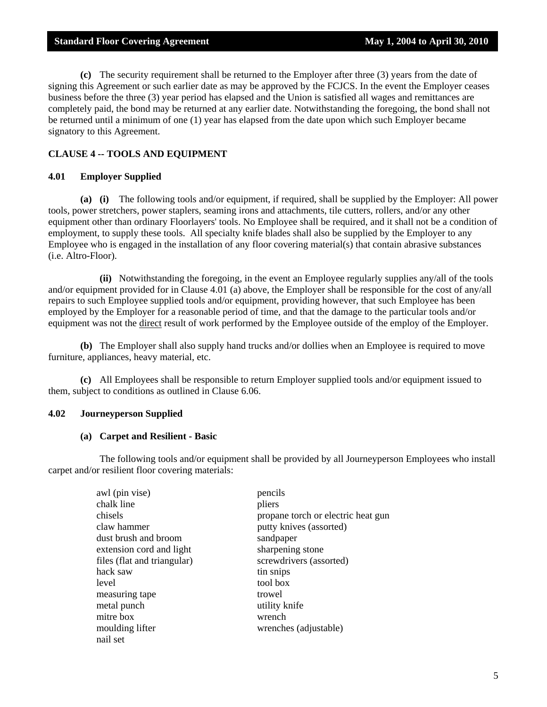**(c)** The security requirement shall be returned to the Employer after three (3) years from the date of signing this Agreement or such earlier date as may be approved by the FCJCS. In the event the Employer ceases business before the three (3) year period has elapsed and the Union is satisfied all wages and remittances are completely paid, the bond may be returned at any earlier date. Notwithstanding the foregoing, the bond shall not be returned until a minimum of one (1) year has elapsed from the date upon which such Employer became signatory to this Agreement.

#### **CLAUSE 4 -- TOOLS AND EQUIPMENT**

#### **4.01 Employer Supplied**

**(a) (i)** The following tools and/or equipment, if required, shall be supplied by the Employer: All power tools, power stretchers, power staplers, seaming irons and attachments, tile cutters, rollers, and/or any other equipment other than ordinary Floorlayers' tools. No Employee shall be required, and it shall not be a condition of employment, to supply these tools. All specialty knife blades shall also be supplied by the Employer to any Employee who is engaged in the installation of any floor covering material(s) that contain abrasive substances (i.e. Altro-Floor).

 **(ii)** Notwithstanding the foregoing, in the event an Employee regularly supplies any/all of the tools and/or equipment provided for in Clause 4.01 (a) above, the Employer shall be responsible for the cost of any/all repairs to such Employee supplied tools and/or equipment, providing however, that such Employee has been employed by the Employer for a reasonable period of time, and that the damage to the particular tools and/or equipment was not the direct result of work performed by the Employee outside of the employ of the Employer.

**(b)** The Employer shall also supply hand trucks and/or dollies when an Employee is required to move furniture, appliances, heavy material, etc.

**(c)** All Employees shall be responsible to return Employer supplied tools and/or equipment issued to them, subject to conditions as outlined in Clause 6.06.

#### **4.02 Journeyperson Supplied**

#### **(a) Carpet and Resilient - Basic**

 The following tools and/or equipment shall be provided by all Journeyperson Employees who install carpet and/or resilient floor covering materials:

| awl (pin vise)              | pencils                            |
|-----------------------------|------------------------------------|
| chalk line                  | pliers                             |
| chisels                     | propane torch or electric heat gun |
| claw hammer                 | putty knives (assorted)            |
| dust brush and broom        | sandpaper                          |
| extension cord and light    | sharpening stone                   |
| files (flat and triangular) | screwdrivers (assorted)            |
| hack saw                    | tin snips                          |
| level                       | tool box                           |
| measuring tape              | trowel                             |
| metal punch                 | utility knife                      |
| mitre box                   | wrench                             |
| moulding lifter             | wrenches (adjustable)              |
| nail set                    |                                    |
|                             |                                    |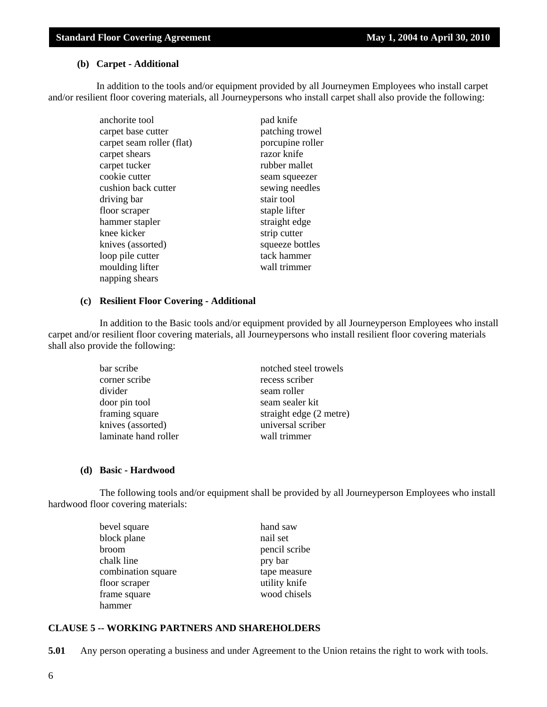#### **(b) Carpet - Additional**

 In addition to the tools and/or equipment provided by all Journeymen Employees who install carpet and/or resilient floor covering materials, all Journeypersons who install carpet shall also provide the following:

| anchorite tool            | pad knife        |
|---------------------------|------------------|
| carpet base cutter        | patching trowel  |
| carpet seam roller (flat) | porcupine roller |
| carpet shears             | razor knife      |
| carpet tucker             | rubber mallet    |
| cookie cutter             | seam squeezer    |
| cushion back cutter       | sewing needles   |
| driving bar               | stair tool       |
| floor scraper             | staple lifter    |
| hammer stapler            | straight edge    |
| knee kicker               | strip cutter     |
| knives (assorted)         | squeeze bottles  |
| loop pile cutter          | tack hammer      |
| moulding lifter           | wall trimmer     |
| napping shears            |                  |

#### **(c) Resilient Floor Covering - Additional**

 In addition to the Basic tools and/or equipment provided by all Journeyperson Employees who install carpet and/or resilient floor covering materials, all Journeypersons who install resilient floor covering materials shall also provide the following:

| bar scribe           | notched steel trowels   |
|----------------------|-------------------------|
| corner scribe        | recess scriber          |
| divider              | seam roller             |
| door pin tool        | seam sealer kit         |
| framing square       | straight edge (2 metre) |
| knives (assorted)    | universal scriber       |
| laminate hand roller | wall trimmer            |

#### **(d) Basic - Hardwood**

 The following tools and/or equipment shall be provided by all Journeyperson Employees who install hardwood floor covering materials:

| bevel square       | hand saw      |
|--------------------|---------------|
| block plane        | nail set      |
| broom              | pencil scribe |
| chalk line         | pry bar       |
| combination square | tape measure  |
| floor scraper      | utility knife |
| frame square       | wood chisels  |
| hammer             |               |

#### **CLAUSE 5 -- WORKING PARTNERS AND SHAREHOLDERS**

**5.01** Any person operating a business and under Agreement to the Union retains the right to work with tools.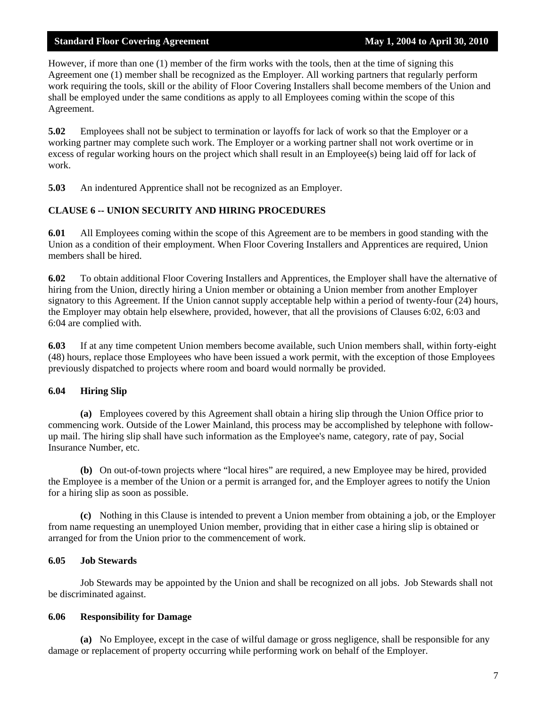However, if more than one (1) member of the firm works with the tools, then at the time of signing this Agreement one (1) member shall be recognized as the Employer. All working partners that regularly perform work requiring the tools, skill or the ability of Floor Covering Installers shall become members of the Union and shall be employed under the same conditions as apply to all Employees coming within the scope of this Agreement.

**5.02** Employees shall not be subject to termination or layoffs for lack of work so that the Employer or a working partner may complete such work. The Employer or a working partner shall not work overtime or in excess of regular working hours on the project which shall result in an Employee(s) being laid off for lack of work.

**5.03** An indentured Apprentice shall not be recognized as an Employer.

#### **CLAUSE 6 -- UNION SECURITY AND HIRING PROCEDURES**

**6.01** All Employees coming within the scope of this Agreement are to be members in good standing with the Union as a condition of their employment. When Floor Covering Installers and Apprentices are required, Union members shall be hired.

**6.02** To obtain additional Floor Covering Installers and Apprentices, the Employer shall have the alternative of hiring from the Union, directly hiring a Union member or obtaining a Union member from another Employer signatory to this Agreement. If the Union cannot supply acceptable help within a period of twenty-four (24) hours, the Employer may obtain help elsewhere, provided, however, that all the provisions of Clauses 6:02, 6:03 and 6:04 are complied with.

**6.03** If at any time competent Union members become available, such Union members shall, within forty-eight (48) hours, replace those Employees who have been issued a work permit, with the exception of those Employees previously dispatched to projects where room and board would normally be provided.

#### **6.04 Hiring Slip**

**(a)** Employees covered by this Agreement shall obtain a hiring slip through the Union Office prior to commencing work. Outside of the Lower Mainland, this process may be accomplished by telephone with followup mail. The hiring slip shall have such information as the Employee's name, category, rate of pay, Social Insurance Number, etc.

**(b)** On out-of-town projects where "local hires" are required, a new Employee may be hired, provided the Employee is a member of the Union or a permit is arranged for, and the Employer agrees to notify the Union for a hiring slip as soon as possible.

**(c)** Nothing in this Clause is intended to prevent a Union member from obtaining a job, or the Employer from name requesting an unemployed Union member, providing that in either case a hiring slip is obtained or arranged for from the Union prior to the commencement of work.

#### **6.05 Job Stewards**

 Job Stewards may be appointed by the Union and shall be recognized on all jobs. Job Stewards shall not be discriminated against.

#### **6.06 Responsibility for Damage**

**(a)** No Employee, except in the case of wilful damage or gross negligence, shall be responsible for any damage or replacement of property occurring while performing work on behalf of the Employer.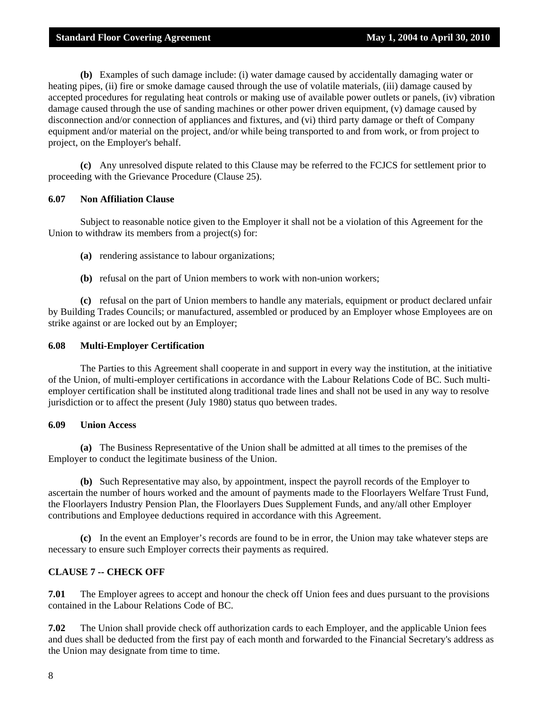**(b)** Examples of such damage include: (i) water damage caused by accidentally damaging water or heating pipes, (ii) fire or smoke damage caused through the use of volatile materials, (iii) damage caused by accepted procedures for regulating heat controls or making use of available power outlets or panels, (iv) vibration damage caused through the use of sanding machines or other power driven equipment, (v) damage caused by disconnection and/or connection of appliances and fixtures, and (vi) third party damage or theft of Company equipment and/or material on the project, and/or while being transported to and from work, or from project to project, on the Employer's behalf.

**(c)** Any unresolved dispute related to this Clause may be referred to the FCJCS for settlement prior to proceeding with the Grievance Procedure (Clause 25).

#### **6.07 Non Affiliation Clause**

 Subject to reasonable notice given to the Employer it shall not be a violation of this Agreement for the Union to withdraw its members from a project(s) for:

- **(a)** rendering assistance to labour organizations;
- **(b)** refusal on the part of Union members to work with non-union workers;

**(c)** refusal on the part of Union members to handle any materials, equipment or product declared unfair by Building Trades Councils; or manufactured, assembled or produced by an Employer whose Employees are on strike against or are locked out by an Employer;

#### **6.08 Multi-Employer Certification**

 The Parties to this Agreement shall cooperate in and support in every way the institution, at the initiative of the Union, of multi-employer certifications in accordance with the Labour Relations Code of BC. Such multiemployer certification shall be instituted along traditional trade lines and shall not be used in any way to resolve jurisdiction or to affect the present (July 1980) status quo between trades.

#### **6.09 Union Access**

**(a)** The Business Representative of the Union shall be admitted at all times to the premises of the Employer to conduct the legitimate business of the Union.

**(b)** Such Representative may also, by appointment, inspect the payroll records of the Employer to ascertain the number of hours worked and the amount of payments made to the Floorlayers Welfare Trust Fund, the Floorlayers Industry Pension Plan, the Floorlayers Dues Supplement Funds, and any/all other Employer contributions and Employee deductions required in accordance with this Agreement.

**(c)** In the event an Employer's records are found to be in error, the Union may take whatever steps are necessary to ensure such Employer corrects their payments as required.

#### **CLAUSE 7 -- CHECK OFF**

**7.01** The Employer agrees to accept and honour the check off Union fees and dues pursuant to the provisions contained in the Labour Relations Code of BC.

**7.02** The Union shall provide check off authorization cards to each Employer, and the applicable Union fees and dues shall be deducted from the first pay of each month and forwarded to the Financial Secretary's address as the Union may designate from time to time.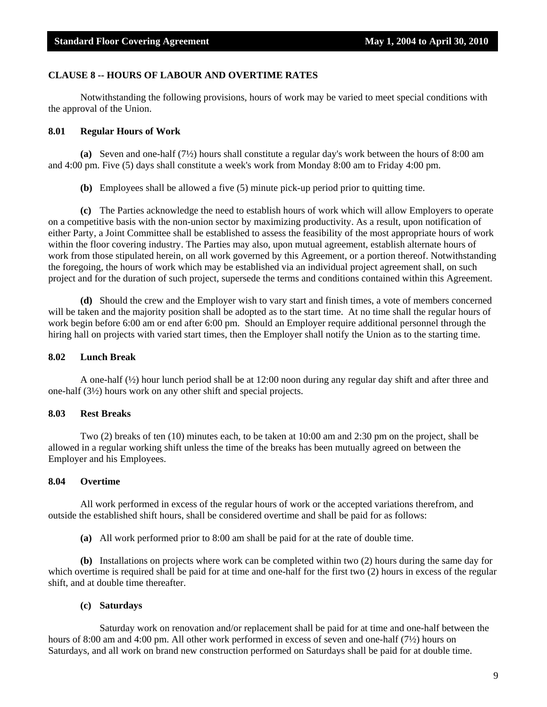#### **CLAUSE 8 -- HOURS OF LABOUR AND OVERTIME RATES**

 Notwithstanding the following provisions, hours of work may be varied to meet special conditions with the approval of the Union.

#### **8.01 Regular Hours of Work**

**(a)** Seven and one-half (7½) hours shall constitute a regular day's work between the hours of 8:00 am and 4:00 pm. Five (5) days shall constitute a week's work from Monday 8:00 am to Friday 4:00 pm.

**(b)** Employees shall be allowed a five (5) minute pick-up period prior to quitting time.

**(c)** The Parties acknowledge the need to establish hours of work which will allow Employers to operate on a competitive basis with the non-union sector by maximizing productivity. As a result, upon notification of either Party, a Joint Committee shall be established to assess the feasibility of the most appropriate hours of work within the floor covering industry. The Parties may also, upon mutual agreement, establish alternate hours of work from those stipulated herein, on all work governed by this Agreement, or a portion thereof. Notwithstanding the foregoing, the hours of work which may be established via an individual project agreement shall, on such project and for the duration of such project, supersede the terms and conditions contained within this Agreement.

**(d)** Should the crew and the Employer wish to vary start and finish times, a vote of members concerned will be taken and the majority position shall be adopted as to the start time. At no time shall the regular hours of work begin before 6:00 am or end after 6:00 pm. Should an Employer require additional personnel through the hiring hall on projects with varied start times, then the Employer shall notify the Union as to the starting time.

#### **8.02 Lunch Break**

 A one-half (½) hour lunch period shall be at 12:00 noon during any regular day shift and after three and one-half (3½) hours work on any other shift and special projects.

#### **8.03 Rest Breaks**

 Two (2) breaks of ten (10) minutes each, to be taken at 10:00 am and 2:30 pm on the project, shall be allowed in a regular working shift unless the time of the breaks has been mutually agreed on between the Employer and his Employees.

#### **8.04 Overtime**

 All work performed in excess of the regular hours of work or the accepted variations therefrom, and outside the established shift hours, shall be considered overtime and shall be paid for as follows:

**(a)** All work performed prior to 8:00 am shall be paid for at the rate of double time.

**(b)** Installations on projects where work can be completed within two (2) hours during the same day for which overtime is required shall be paid for at time and one-half for the first two (2) hours in excess of the regular shift, and at double time thereafter.

#### **(c) Saturdays**

 Saturday work on renovation and/or replacement shall be paid for at time and one-half between the hours of 8:00 am and 4:00 pm. All other work performed in excess of seven and one-half (7½) hours on Saturdays, and all work on brand new construction performed on Saturdays shall be paid for at double time.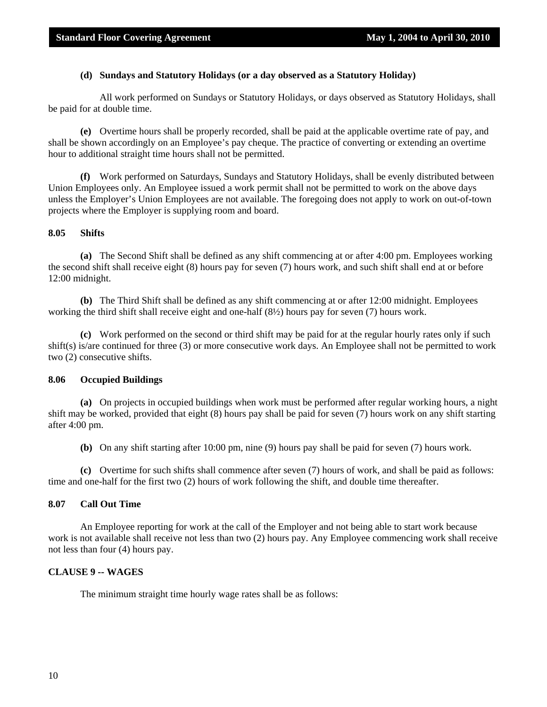#### **(d) Sundays and Statutory Holidays (or a day observed as a Statutory Holiday)**

 All work performed on Sundays or Statutory Holidays, or days observed as Statutory Holidays, shall be paid for at double time.

**(e)** Overtime hours shall be properly recorded, shall be paid at the applicable overtime rate of pay, and shall be shown accordingly on an Employee's pay cheque. The practice of converting or extending an overtime hour to additional straight time hours shall not be permitted.

**(f)** Work performed on Saturdays, Sundays and Statutory Holidays, shall be evenly distributed between Union Employees only. An Employee issued a work permit shall not be permitted to work on the above days unless the Employer's Union Employees are not available. The foregoing does not apply to work on out-of-town projects where the Employer is supplying room and board.

#### **8.05 Shifts**

**(a)** The Second Shift shall be defined as any shift commencing at or after 4:00 pm. Employees working the second shift shall receive eight (8) hours pay for seven (7) hours work, and such shift shall end at or before 12:00 midnight.

**(b)** The Third Shift shall be defined as any shift commencing at or after 12:00 midnight. Employees working the third shift shall receive eight and one-half (8½) hours pay for seven (7) hours work.

**(c)** Work performed on the second or third shift may be paid for at the regular hourly rates only if such shift(s) is/are continued for three (3) or more consecutive work days. An Employee shall not be permitted to work two (2) consecutive shifts.

#### **8.06 Occupied Buildings**

**(a)** On projects in occupied buildings when work must be performed after regular working hours, a night shift may be worked, provided that eight (8) hours pay shall be paid for seven (7) hours work on any shift starting after 4:00 pm.

**(b)** On any shift starting after 10:00 pm, nine (9) hours pay shall be paid for seven (7) hours work.

**(c)** Overtime for such shifts shall commence after seven (7) hours of work, and shall be paid as follows: time and one-half for the first two (2) hours of work following the shift, and double time thereafter.

#### **8.07 Call Out Time**

 An Employee reporting for work at the call of the Employer and not being able to start work because work is not available shall receive not less than two (2) hours pay. Any Employee commencing work shall receive not less than four (4) hours pay.

#### **CLAUSE 9 -- WAGES**

The minimum straight time hourly wage rates shall be as follows: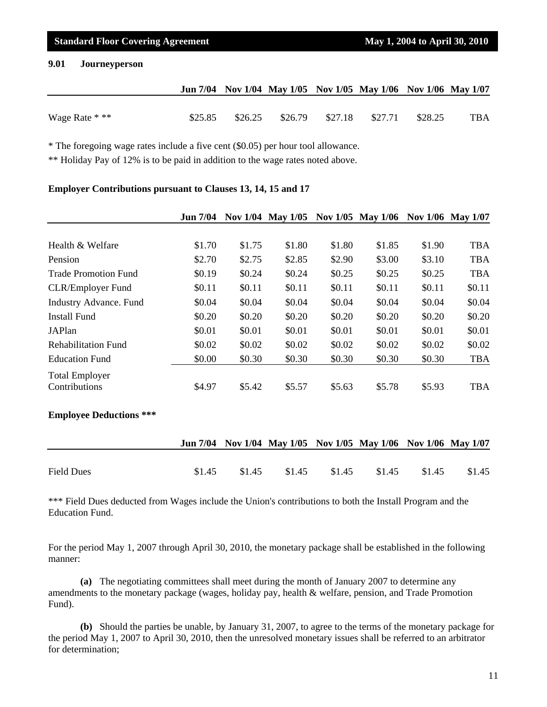#### **9.01 Journeyperson**

|                |         |         |  | Jun 7/04 Nov 1/04 May 1/05 Nov 1/05 May 1/06 Nov 1/06 May 1/07 |         |     |
|----------------|---------|---------|--|----------------------------------------------------------------|---------|-----|
|                |         |         |  |                                                                |         |     |
| Wage Rate * ** | \$25.85 | \$26.25 |  | \$26.79 \$27.18 \$27.71                                        | \$28.25 | TBA |

\* The foregoing wage rates include a five cent (\$0.05) per hour tool allowance.

\*\* Holiday Pay of 12% is to be paid in addition to the wage rates noted above.

#### **Employer Contributions pursuant to Clauses 13, 14, 15 and 17**

|                                        | <b>Jun 7/04</b> |        | Nov 1/04 May 1/05 |        | Nov 1/05 May 1/06 |        | Nov 1/06 May 1/07 |
|----------------------------------------|-----------------|--------|-------------------|--------|-------------------|--------|-------------------|
|                                        |                 |        |                   |        |                   |        |                   |
| Health & Welfare                       | \$1.70          | \$1.75 | \$1.80            | \$1.80 | \$1.85            | \$1.90 | <b>TBA</b>        |
| Pension                                | \$2.70          | \$2.75 | \$2.85            | \$2.90 | \$3.00            | \$3.10 | <b>TBA</b>        |
| <b>Trade Promotion Fund</b>            | \$0.19          | \$0.24 | \$0.24            | \$0.25 | \$0.25            | \$0.25 | <b>TBA</b>        |
| <b>CLR/Employer Fund</b>               | \$0.11          | \$0.11 | \$0.11            | \$0.11 | \$0.11            | \$0.11 | \$0.11            |
| <b>Industry Advance.</b> Fund          | \$0.04          | \$0.04 | \$0.04            | \$0.04 | \$0.04            | \$0.04 | \$0.04            |
| <b>Install Fund</b>                    | \$0.20          | \$0.20 | \$0.20            | \$0.20 | \$0.20            | \$0.20 | \$0.20            |
| JAPlan                                 | \$0.01          | \$0.01 | \$0.01            | \$0.01 | \$0.01            | \$0.01 | \$0.01            |
| <b>Rehabilitation Fund</b>             | \$0.02          | \$0.02 | \$0.02            | \$0.02 | \$0.02            | \$0.02 | \$0.02            |
| <b>Education Fund</b>                  | \$0.00          | \$0.30 | \$0.30            | \$0.30 | \$0.30            | \$0.30 | <b>TBA</b>        |
| <b>Total Employer</b><br>Contributions | \$4.97          | \$5.42 | \$5.57            | \$5.63 | \$5.78            | \$5.93 | <b>TBA</b>        |

#### **Employee Deductions \*\*\***

|                   |        |        |        |        | Jun 7/04 Nov 1/04 May 1/05 Nov 1/05 May 1/06 Nov 1/06 May 1/07 |        |        |
|-------------------|--------|--------|--------|--------|----------------------------------------------------------------|--------|--------|
|                   |        |        |        |        |                                                                |        |        |
| <b>Field Dues</b> | \$1.45 | \$1.45 | \$1.45 | \$1.45 | \$1.45                                                         | \$1.45 | \$1.45 |

\*\*\* Field Dues deducted from Wages include the Union's contributions to both the Install Program and the Education Fund.

For the period May 1, 2007 through April 30, 2010, the monetary package shall be established in the following manner:

**(a)** The negotiating committees shall meet during the month of January 2007 to determine any amendments to the monetary package (wages, holiday pay, health & welfare, pension, and Trade Promotion Fund).

**(b)** Should the parties be unable, by January 31, 2007, to agree to the terms of the monetary package for the period May 1, 2007 to April 30, 2010, then the unresolved monetary issues shall be referred to an arbitrator for determination;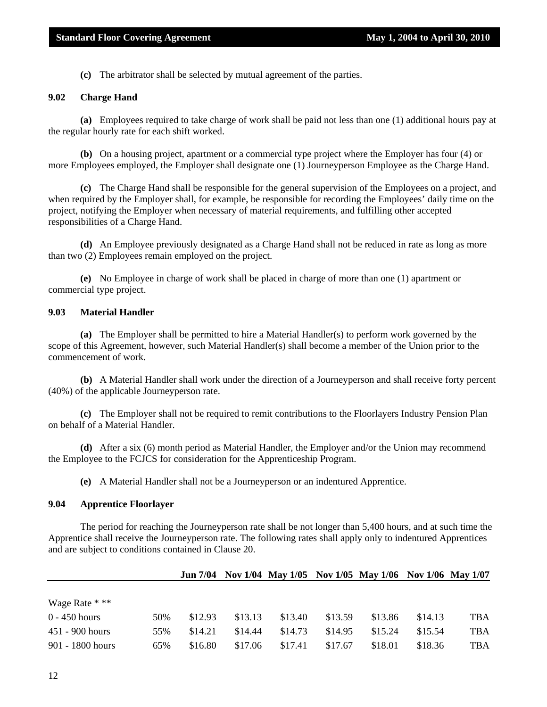**(c)** The arbitrator shall be selected by mutual agreement of the parties.

#### **9.02 Charge Hand**

**(a)** Employees required to take charge of work shall be paid not less than one (1) additional hours pay at the regular hourly rate for each shift worked.

**(b)** On a housing project, apartment or a commercial type project where the Employer has four (4) or more Employees employed, the Employer shall designate one (1) Journeyperson Employee as the Charge Hand.

**(c)** The Charge Hand shall be responsible for the general supervision of the Employees on a project, and when required by the Employer shall, for example, be responsible for recording the Employees' daily time on the project, notifying the Employer when necessary of material requirements, and fulfilling other accepted responsibilities of a Charge Hand.

**(d)** An Employee previously designated as a Charge Hand shall not be reduced in rate as long as more than two (2) Employees remain employed on the project.

**(e)** No Employee in charge of work shall be placed in charge of more than one (1) apartment or commercial type project.

#### **9.03 Material Handler**

**(a)** The Employer shall be permitted to hire a Material Handler(s) to perform work governed by the scope of this Agreement, however, such Material Handler(s) shall become a member of the Union prior to the commencement of work.

**(b)** A Material Handler shall work under the direction of a Journeyperson and shall receive forty percent (40%) of the applicable Journeyperson rate.

**(c)** The Employer shall not be required to remit contributions to the Floorlayers Industry Pension Plan on behalf of a Material Handler.

**(d)** After a six (6) month period as Material Handler, the Employer and/or the Union may recommend the Employee to the FCJCS for consideration for the Apprenticeship Program.

**(e)** A Material Handler shall not be a Journeyperson or an indentured Apprentice.

#### **9.04 Apprentice Floorlayer**

 The period for reaching the Journeyperson rate shall be not longer than 5,400 hours, and at such time the Apprentice shall receive the Journeyperson rate. The following rates shall apply only to indentured Apprentices and are subject to conditions contained in Clause 20.

|                    |     |         |         |         |         | Jun 7/04 Nov 1/04 May 1/05 Nov 1/05 May 1/06 Nov 1/06 May 1/07 |         |            |
|--------------------|-----|---------|---------|---------|---------|----------------------------------------------------------------|---------|------------|
|                    |     |         |         |         |         |                                                                |         |            |
| Wage Rate * **     |     |         |         |         |         |                                                                |         |            |
| $0 - 450$ hours    | 50% | \$12.93 | \$13.13 | \$13.40 | \$13.59 | \$13.86                                                        | \$14.13 | <b>TBA</b> |
| $451 - 900$ hours  | 55% | \$14.21 | \$14.44 | \$14.73 | \$14.95 | \$15.24                                                        | \$15.54 | <b>TBA</b> |
| $901 - 1800$ hours | 65% | \$16.80 | \$17.06 | \$17.41 | \$17.67 | \$18.01                                                        | \$18.36 | TBA        |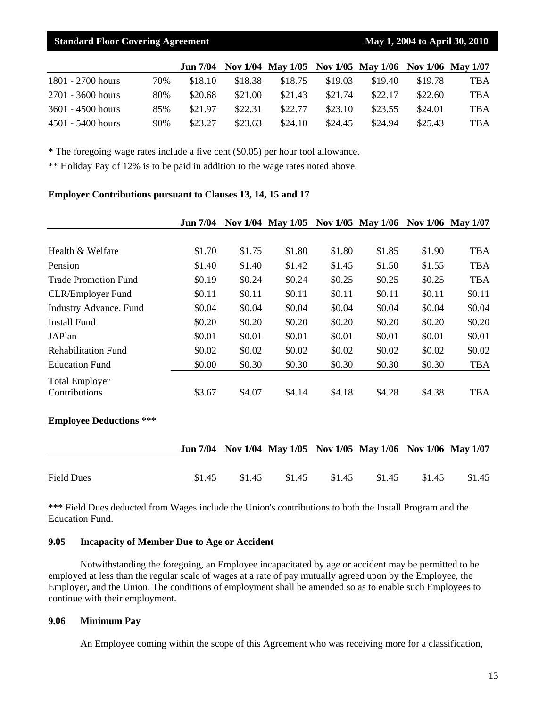|                     |     |         |         | Jun 7/04 Nov 1/04 May 1/05 Nov 1/05 May 1/06 Nov 1/06 May 1/07 |         |         |         |            |
|---------------------|-----|---------|---------|----------------------------------------------------------------|---------|---------|---------|------------|
| 1801 - 2700 hours   | 70% | \$18.10 | \$18.38 | \$18.75                                                        | \$19.03 | \$19.40 | \$19.78 | TBA        |
| 2701 - 3600 hours   | 80% | \$20.68 | \$21.00 | \$21.43                                                        | \$21.74 | \$22.17 | \$22.60 | <b>TBA</b> |
| $3601 - 4500$ hours | 85% | \$21.97 | \$22.31 | \$22.77                                                        | \$23.10 | \$23.55 | \$24.01 | <b>TBA</b> |
| $4501 - 5400$ hours | 90% | \$23.27 | \$23.63 | \$24.10                                                        | \$24.45 | \$24.94 | \$25.43 | TBA        |

\* The foregoing wage rates include a five cent (\$0.05) per hour tool allowance.

\*\* Holiday Pay of 12% is to be paid in addition to the wage rates noted above.

#### **Employer Contributions pursuant to Clauses 13, 14, 15 and 17**

|                                        | <b>Jun 7/04</b> |        | Nov 1/04 May 1/05 |        | Nov 1/05 May 1/06 |        | Nov 1/06 May 1/07 |
|----------------------------------------|-----------------|--------|-------------------|--------|-------------------|--------|-------------------|
|                                        |                 |        |                   |        |                   |        |                   |
| Health & Welfare                       | \$1.70          | \$1.75 | \$1.80            | \$1.80 | \$1.85            | \$1.90 | <b>TBA</b>        |
| Pension                                | \$1.40          | \$1.40 | \$1.42            | \$1.45 | \$1.50            | \$1.55 | <b>TBA</b>        |
| <b>Trade Promotion Fund</b>            | \$0.19          | \$0.24 | \$0.24            | \$0.25 | \$0.25            | \$0.25 | <b>TBA</b>        |
| <b>CLR/Employer Fund</b>               | \$0.11          | \$0.11 | \$0.11            | \$0.11 | \$0.11            | \$0.11 | \$0.11            |
| <b>Industry Advance.</b> Fund          | \$0.04          | \$0.04 | \$0.04            | \$0.04 | \$0.04            | \$0.04 | \$0.04            |
| <b>Install Fund</b>                    | \$0.20          | \$0.20 | \$0.20            | \$0.20 | \$0.20            | \$0.20 | \$0.20            |
| <b>JAPlan</b>                          | \$0.01          | \$0.01 | \$0.01            | \$0.01 | \$0.01            | \$0.01 | \$0.01            |
| <b>Rehabilitation Fund</b>             | \$0.02          | \$0.02 | \$0.02            | \$0.02 | \$0.02            | \$0.02 | \$0.02            |
| <b>Education Fund</b>                  | \$0.00          | \$0.30 | \$0.30            | \$0.30 | \$0.30            | \$0.30 | <b>TBA</b>        |
| <b>Total Employer</b><br>Contributions | \$3.67          | \$4.07 | \$4.14            | \$4.18 | \$4.28            | \$4.38 | <b>TBA</b>        |

#### **Employee Deductions \*\*\***

|                   |       |        |  | Jun 7/04 Nov 1/04 May 1/05 Nov 1/05 May 1/06 Nov 1/06 May 1/07 |        |        |
|-------------------|-------|--------|--|----------------------------------------------------------------|--------|--------|
|                   |       |        |  |                                                                |        |        |
| <b>Field Dues</b> | \$145 | \$1.45 |  | \$1.45 \$1.45 \$1.45                                           | \$1.45 | \$1.45 |

\*\*\* Field Dues deducted from Wages include the Union's contributions to both the Install Program and the Education Fund.

#### **9.05 Incapacity of Member Due to Age or Accident**

 Notwithstanding the foregoing, an Employee incapacitated by age or accident may be permitted to be employed at less than the regular scale of wages at a rate of pay mutually agreed upon by the Employee, the Employer, and the Union. The conditions of employment shall be amended so as to enable such Employees to continue with their employment.

#### **9.06 Minimum Pay**

An Employee coming within the scope of this Agreement who was receiving more for a classification,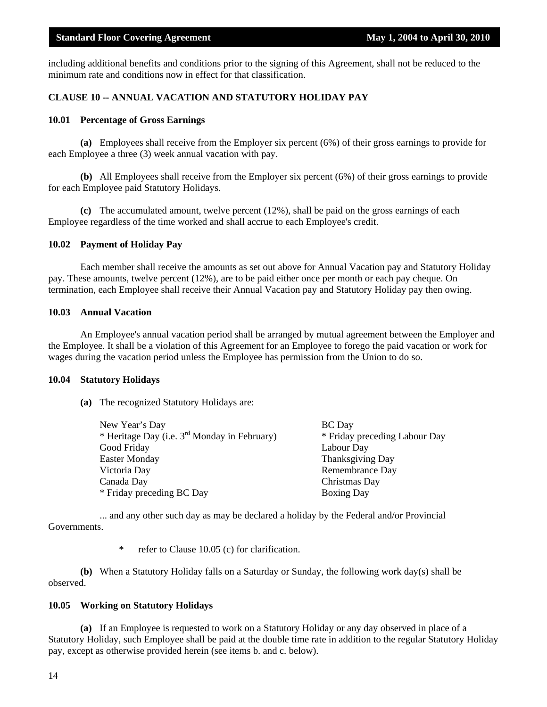including additional benefits and conditions prior to the signing of this Agreement, shall not be reduced to the minimum rate and conditions now in effect for that classification.

#### **CLAUSE 10 -- ANNUAL VACATION AND STATUTORY HOLIDAY PAY**

#### **10.01 Percentage of Gross Earnings**

**(a)** Employees shall receive from the Employer six percent (6%) of their gross earnings to provide for each Employee a three (3) week annual vacation with pay.

**(b)** All Employees shall receive from the Employer six percent (6%) of their gross earnings to provide for each Employee paid Statutory Holidays.

**(c)** The accumulated amount, twelve percent (12%), shall be paid on the gross earnings of each Employee regardless of the time worked and shall accrue to each Employee's credit.

#### **10.02 Payment of Holiday Pay**

 Each member shall receive the amounts as set out above for Annual Vacation pay and Statutory Holiday pay. These amounts, twelve percent (12%), are to be paid either once per month or each pay cheque. On termination, each Employee shall receive their Annual Vacation pay and Statutory Holiday pay then owing.

#### **10.03 Annual Vacation**

 An Employee's annual vacation period shall be arranged by mutual agreement between the Employer and the Employee. It shall be a violation of this Agreement for an Employee to forego the paid vacation or work for wages during the vacation period unless the Employee has permission from the Union to do so.

#### **10.04 Statutory Holidays**

**(a)** The recognized Statutory Holidays are:

| New Year's Day                                    | <b>BC</b> Day                 |
|---------------------------------------------------|-------------------------------|
| * Heritage Day (i.e. $3^{rd}$ Monday in February) | * Friday preceding Labour Day |
| Good Friday                                       | Labour Day                    |
| <b>Easter Monday</b>                              | <b>Thanksgiving Day</b>       |
| Victoria Day                                      | Remembrance Day               |
| Canada Day                                        | Christmas Day                 |
| * Friday preceding BC Day                         | <b>Boxing Day</b>             |

 ... and any other such day as may be declared a holiday by the Federal and/or Provincial Governments.

\* refer to Clause 10.05 (c) for clarification.

**(b)** When a Statutory Holiday falls on a Saturday or Sunday, the following work day(s) shall be observed.

#### **10.05 Working on Statutory Holidays**

**(a)** If an Employee is requested to work on a Statutory Holiday or any day observed in place of a Statutory Holiday, such Employee shall be paid at the double time rate in addition to the regular Statutory Holiday pay, except as otherwise provided herein (see items b. and c. below).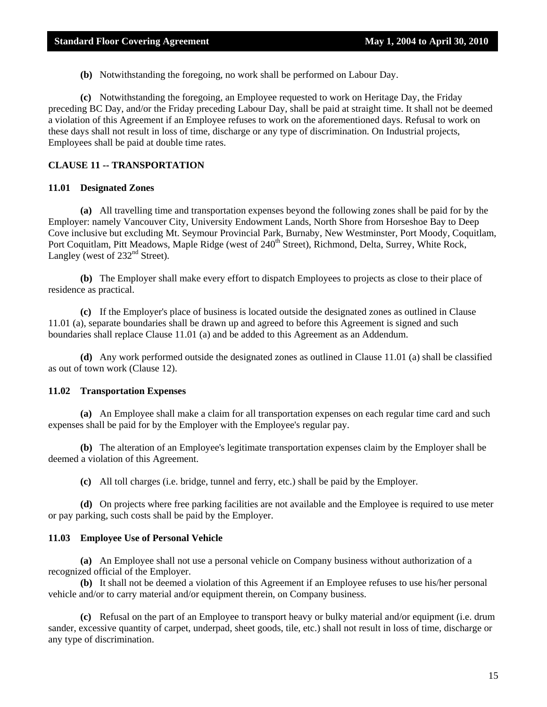**(b)** Notwithstanding the foregoing, no work shall be performed on Labour Day.

**(c)** Notwithstanding the foregoing, an Employee requested to work on Heritage Day, the Friday preceding BC Day, and/or the Friday preceding Labour Day, shall be paid at straight time. It shall not be deemed a violation of this Agreement if an Employee refuses to work on the aforementioned days. Refusal to work on these days shall not result in loss of time, discharge or any type of discrimination. On Industrial projects, Employees shall be paid at double time rates.

#### **CLAUSE 11 -- TRANSPORTATION**

#### **11.01 Designated Zones**

**(a)** All travelling time and transportation expenses beyond the following zones shall be paid for by the Employer: namely Vancouver City, University Endowment Lands, North Shore from Horseshoe Bay to Deep Cove inclusive but excluding Mt. Seymour Provincial Park, Burnaby, New Westminster, Port Moody, Coquitlam, Port Coquitlam, Pitt Meadows, Maple Ridge (west of 240<sup>th</sup> Street), Richmond, Delta, Surrey, White Rock, Langley (west of  $232<sup>nd</sup>$  Street).

**(b)** The Employer shall make every effort to dispatch Employees to projects as close to their place of residence as practical.

**(c)** If the Employer's place of business is located outside the designated zones as outlined in Clause 11.01 (a), separate boundaries shall be drawn up and agreed to before this Agreement is signed and such boundaries shall replace Clause 11.01 (a) and be added to this Agreement as an Addendum.

**(d)** Any work performed outside the designated zones as outlined in Clause 11.01 (a) shall be classified as out of town work (Clause 12).

#### **11.02 Transportation Expenses**

**(a)** An Employee shall make a claim for all transportation expenses on each regular time card and such expenses shall be paid for by the Employer with the Employee's regular pay.

**(b)** The alteration of an Employee's legitimate transportation expenses claim by the Employer shall be deemed a violation of this Agreement.

**(c)** All toll charges (i.e. bridge, tunnel and ferry, etc.) shall be paid by the Employer.

**(d)** On projects where free parking facilities are not available and the Employee is required to use meter or pay parking, such costs shall be paid by the Employer.

#### **11.03 Employee Use of Personal Vehicle**

**(a)** An Employee shall not use a personal vehicle on Company business without authorization of a recognized official of the Employer.

**(b)** It shall not be deemed a violation of this Agreement if an Employee refuses to use his/her personal vehicle and/or to carry material and/or equipment therein, on Company business.

**(c)** Refusal on the part of an Employee to transport heavy or bulky material and/or equipment (i.e. drum sander, excessive quantity of carpet, underpad, sheet goods, tile, etc.) shall not result in loss of time, discharge or any type of discrimination.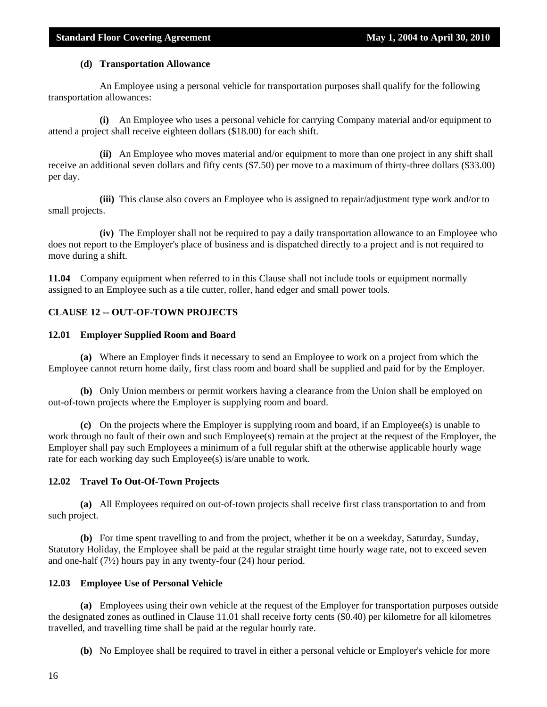#### **(d) Transportation Allowance**

 An Employee using a personal vehicle for transportation purposes shall qualify for the following transportation allowances:

 **(i)** An Employee who uses a personal vehicle for carrying Company material and/or equipment to attend a project shall receive eighteen dollars (\$18.00) for each shift.

 **(ii)** An Employee who moves material and/or equipment to more than one project in any shift shall receive an additional seven dollars and fifty cents (\$7.50) per move to a maximum of thirty-three dollars (\$33.00) per day.

 **(iii)** This clause also covers an Employee who is assigned to repair/adjustment type work and/or to small projects.

 **(iv)** The Employer shall not be required to pay a daily transportation allowance to an Employee who does not report to the Employer's place of business and is dispatched directly to a project and is not required to move during a shift.

**11.04** Company equipment when referred to in this Clause shall not include tools or equipment normally assigned to an Employee such as a tile cutter, roller, hand edger and small power tools.

#### **CLAUSE 12 -- OUT-OF-TOWN PROJECTS**

#### **12.01 Employer Supplied Room and Board**

**(a)** Where an Employer finds it necessary to send an Employee to work on a project from which the Employee cannot return home daily, first class room and board shall be supplied and paid for by the Employer.

**(b)** Only Union members or permit workers having a clearance from the Union shall be employed on out-of-town projects where the Employer is supplying room and board.

**(c)** On the projects where the Employer is supplying room and board, if an Employee(s) is unable to work through no fault of their own and such Employee(s) remain at the project at the request of the Employer, the Employer shall pay such Employees a minimum of a full regular shift at the otherwise applicable hourly wage rate for each working day such Employee(s) is/are unable to work.

#### **12.02 Travel To Out-Of-Town Projects**

**(a)** All Employees required on out-of-town projects shall receive first class transportation to and from such project.

**(b)** For time spent travelling to and from the project, whether it be on a weekday, Saturday, Sunday, Statutory Holiday, the Employee shall be paid at the regular straight time hourly wage rate, not to exceed seven and one-half (7½) hours pay in any twenty-four (24) hour period.

#### **12.03 Employee Use of Personal Vehicle**

**(a)** Employees using their own vehicle at the request of the Employer for transportation purposes outside the designated zones as outlined in Clause 11.01 shall receive forty cents (\$0.40) per kilometre for all kilometres travelled, and travelling time shall be paid at the regular hourly rate.

**(b)** No Employee shall be required to travel in either a personal vehicle or Employer's vehicle for more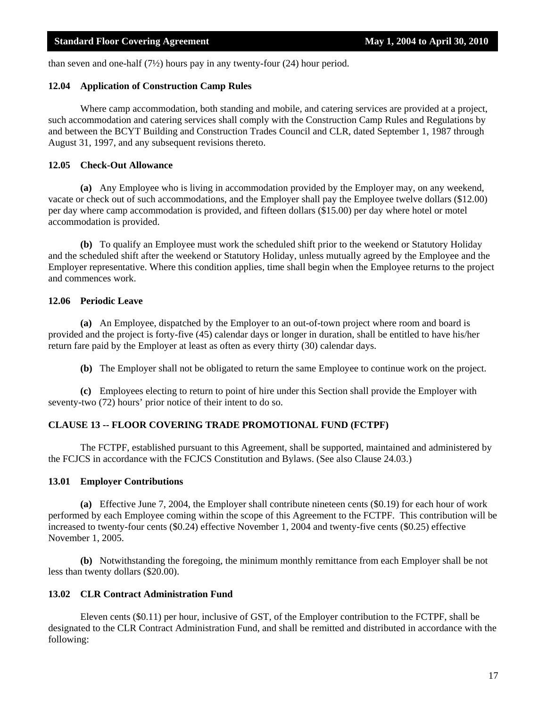than seven and one-half  $(7\frac{1}{2})$  hours pay in any twenty-four (24) hour period.

#### **12.04 Application of Construction Camp Rules**

 Where camp accommodation, both standing and mobile, and catering services are provided at a project, such accommodation and catering services shall comply with the Construction Camp Rules and Regulations by and between the BCYT Building and Construction Trades Council and CLR, dated September 1, 1987 through August 31, 1997, and any subsequent revisions thereto.

#### **12.05 Check-Out Allowance**

**(a)** Any Employee who is living in accommodation provided by the Employer may, on any weekend, vacate or check out of such accommodations, and the Employer shall pay the Employee twelve dollars (\$12.00) per day where camp accommodation is provided, and fifteen dollars (\$15.00) per day where hotel or motel accommodation is provided.

**(b)** To qualify an Employee must work the scheduled shift prior to the weekend or Statutory Holiday and the scheduled shift after the weekend or Statutory Holiday, unless mutually agreed by the Employee and the Employer representative. Where this condition applies, time shall begin when the Employee returns to the project and commences work.

#### **12.06 Periodic Leave**

**(a)** An Employee, dispatched by the Employer to an out-of-town project where room and board is provided and the project is forty-five (45) calendar days or longer in duration, shall be entitled to have his/her return fare paid by the Employer at least as often as every thirty (30) calendar days.

**(b)** The Employer shall not be obligated to return the same Employee to continue work on the project.

**(c)** Employees electing to return to point of hire under this Section shall provide the Employer with seventy-two (72) hours' prior notice of their intent to do so.

#### **CLAUSE 13 -- FLOOR COVERING TRADE PROMOTIONAL FUND (FCTPF)**

 The FCTPF, established pursuant to this Agreement, shall be supported, maintained and administered by the FCJCS in accordance with the FCJCS Constitution and Bylaws. (See also Clause 24.03.)

#### **13.01 Employer Contributions**

**(a)** Effective June 7, 2004, the Employer shall contribute nineteen cents (\$0.19) for each hour of work performed by each Employee coming within the scope of this Agreement to the FCTPF. This contribution will be increased to twenty-four cents (\$0.24) effective November 1, 2004 and twenty-five cents (\$0.25) effective November 1, 2005.

**(b)** Notwithstanding the foregoing, the minimum monthly remittance from each Employer shall be not less than twenty dollars (\$20.00).

#### **13.02 CLR Contract Administration Fund**

 Eleven cents (\$0.11) per hour, inclusive of GST, of the Employer contribution to the FCTPF, shall be designated to the CLR Contract Administration Fund, and shall be remitted and distributed in accordance with the following: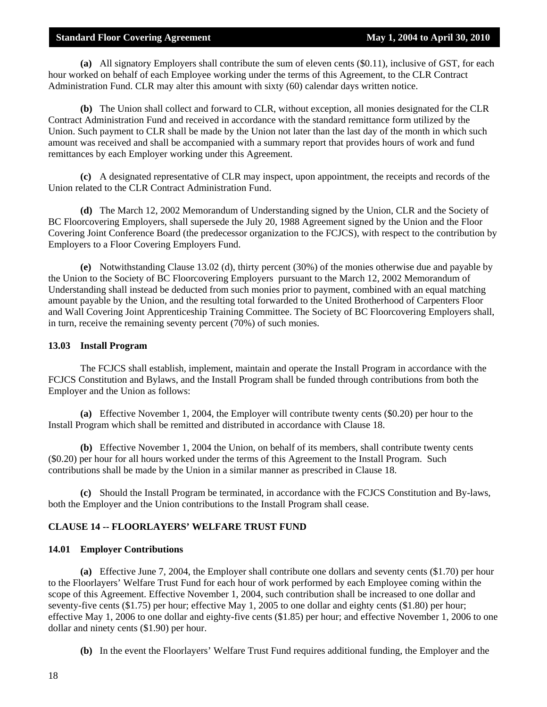**(a)** All signatory Employers shall contribute the sum of eleven cents (\$0.11), inclusive of GST, for each hour worked on behalf of each Employee working under the terms of this Agreement, to the CLR Contract Administration Fund. CLR may alter this amount with sixty (60) calendar days written notice.

**(b)** The Union shall collect and forward to CLR, without exception, all monies designated for the CLR Contract Administration Fund and received in accordance with the standard remittance form utilized by the Union. Such payment to CLR shall be made by the Union not later than the last day of the month in which such amount was received and shall be accompanied with a summary report that provides hours of work and fund remittances by each Employer working under this Agreement.

**(c)** A designated representative of CLR may inspect, upon appointment, the receipts and records of the Union related to the CLR Contract Administration Fund.

**(d)** The March 12, 2002 Memorandum of Understanding signed by the Union, CLR and the Society of BC Floorcovering Employers, shall supersede the July 20, 1988 Agreement signed by the Union and the Floor Covering Joint Conference Board (the predecessor organization to the FCJCS), with respect to the contribution by Employers to a Floor Covering Employers Fund.

**(e)** Notwithstanding Clause 13.02 (d), thirty percent (30%) of the monies otherwise due and payable by the Union to the Society of BC Floorcovering Employers pursuant to the March 12, 2002 Memorandum of Understanding shall instead be deducted from such monies prior to payment, combined with an equal matching amount payable by the Union, and the resulting total forwarded to the United Brotherhood of Carpenters Floor and Wall Covering Joint Apprenticeship Training Committee. The Society of BC Floorcovering Employers shall, in turn, receive the remaining seventy percent (70%) of such monies.

#### **13.03 Install Program**

 The FCJCS shall establish, implement, maintain and operate the Install Program in accordance with the FCJCS Constitution and Bylaws, and the Install Program shall be funded through contributions from both the Employer and the Union as follows:

**(a)** Effective November 1, 2004, the Employer will contribute twenty cents (\$0.20) per hour to the Install Program which shall be remitted and distributed in accordance with Clause 18.

**(b)** Effective November 1, 2004 the Union, on behalf of its members, shall contribute twenty cents (\$0.20) per hour for all hours worked under the terms of this Agreement to the Install Program. Such contributions shall be made by the Union in a similar manner as prescribed in Clause 18.

**(c)** Should the Install Program be terminated, in accordance with the FCJCS Constitution and By-laws, both the Employer and the Union contributions to the Install Program shall cease.

#### **CLAUSE 14 -- FLOORLAYERS' WELFARE TRUST FUND**

#### **14.01 Employer Contributions**

**(a)** Effective June 7, 2004, the Employer shall contribute one dollars and seventy cents (\$1.70) per hour to the Floorlayers' Welfare Trust Fund for each hour of work performed by each Employee coming within the scope of this Agreement. Effective November 1, 2004, such contribution shall be increased to one dollar and seventy-five cents (\$1.75) per hour; effective May 1, 2005 to one dollar and eighty cents (\$1.80) per hour; effective May 1, 2006 to one dollar and eighty-five cents (\$1.85) per hour; and effective November 1, 2006 to one dollar and ninety cents (\$1.90) per hour.

**(b)** In the event the Floorlayers' Welfare Trust Fund requires additional funding, the Employer and the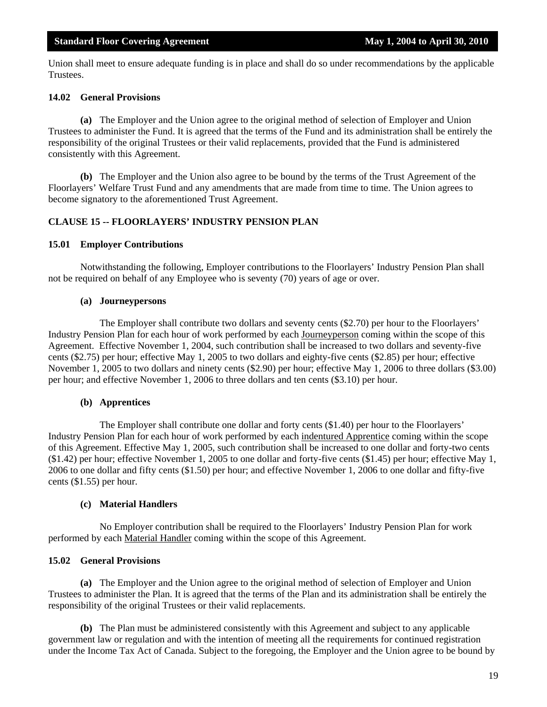Union shall meet to ensure adequate funding is in place and shall do so under recommendations by the applicable Trustees.

#### **14.02 General Provisions**

**(a)** The Employer and the Union agree to the original method of selection of Employer and Union Trustees to administer the Fund. It is agreed that the terms of the Fund and its administration shall be entirely the responsibility of the original Trustees or their valid replacements, provided that the Fund is administered consistently with this Agreement.

**(b)** The Employer and the Union also agree to be bound by the terms of the Trust Agreement of the Floorlayers' Welfare Trust Fund and any amendments that are made from time to time. The Union agrees to become signatory to the aforementioned Trust Agreement.

#### **CLAUSE 15 -- FLOORLAYERS' INDUSTRY PENSION PLAN**

#### **15.01 Employer Contributions**

 Notwithstanding the following, Employer contributions to the Floorlayers' Industry Pension Plan shall not be required on behalf of any Employee who is seventy (70) years of age or over.

#### **(a) Journeypersons**

 The Employer shall contribute two dollars and seventy cents (\$2.70) per hour to the Floorlayers' Industry Pension Plan for each hour of work performed by each Journeyperson coming within the scope of this Agreement. Effective November 1, 2004, such contribution shall be increased to two dollars and seventy-five cents (\$2.75) per hour; effective May 1, 2005 to two dollars and eighty-five cents (\$2.85) per hour; effective November 1, 2005 to two dollars and ninety cents (\$2.90) per hour; effective May 1, 2006 to three dollars (\$3.00) per hour; and effective November 1, 2006 to three dollars and ten cents (\$3.10) per hour.

#### **(b) Apprentices**

 The Employer shall contribute one dollar and forty cents (\$1.40) per hour to the Floorlayers' Industry Pension Plan for each hour of work performed by each indentured Apprentice coming within the scope of this Agreement. Effective May 1, 2005, such contribution shall be increased to one dollar and forty-two cents (\$1.42) per hour; effective November 1, 2005 to one dollar and forty-five cents (\$1.45) per hour; effective May 1, 2006 to one dollar and fifty cents (\$1.50) per hour; and effective November 1, 2006 to one dollar and fifty-five cents (\$1.55) per hour.

#### **(c) Material Handlers**

 No Employer contribution shall be required to the Floorlayers' Industry Pension Plan for work performed by each Material Handler coming within the scope of this Agreement.

#### **15.02 General Provisions**

**(a)** The Employer and the Union agree to the original method of selection of Employer and Union Trustees to administer the Plan. It is agreed that the terms of the Plan and its administration shall be entirely the responsibility of the original Trustees or their valid replacements.

**(b)** The Plan must be administered consistently with this Agreement and subject to any applicable government law or regulation and with the intention of meeting all the requirements for continued registration under the Income Tax Act of Canada. Subject to the foregoing, the Employer and the Union agree to be bound by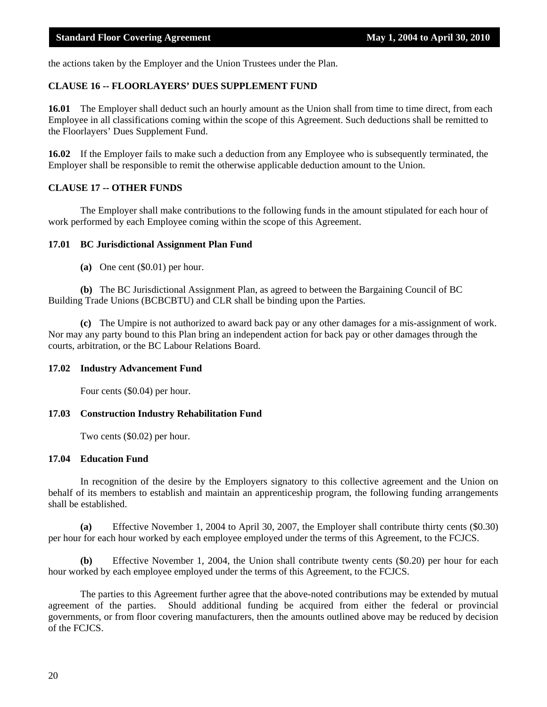the actions taken by the Employer and the Union Trustees under the Plan.

#### **CLAUSE 16 -- FLOORLAYERS' DUES SUPPLEMENT FUND**

**16.01** The Employer shall deduct such an hourly amount as the Union shall from time to time direct, from each Employee in all classifications coming within the scope of this Agreement. Such deductions shall be remitted to the Floorlayers' Dues Supplement Fund.

**16.02** If the Employer fails to make such a deduction from any Employee who is subsequently terminated, the Employer shall be responsible to remit the otherwise applicable deduction amount to the Union.

#### **CLAUSE 17 -- OTHER FUNDS**

 The Employer shall make contributions to the following funds in the amount stipulated for each hour of work performed by each Employee coming within the scope of this Agreement.

#### **17.01 BC Jurisdictional Assignment Plan Fund**

**(a)** One cent (\$0.01) per hour.

**(b)** The BC Jurisdictional Assignment Plan, as agreed to between the Bargaining Council of BC Building Trade Unions (BCBCBTU) and CLR shall be binding upon the Parties.

**(c)** The Umpire is not authorized to award back pay or any other damages for a mis-assignment of work. Nor may any party bound to this Plan bring an independent action for back pay or other damages through the courts, arbitration, or the BC Labour Relations Board.

#### **17.02 Industry Advancement Fund**

Four cents (\$0.04) per hour.

#### **17.03 Construction Industry Rehabilitation Fund**

Two cents (\$0.02) per hour.

#### **17.04 Education Fund**

In recognition of the desire by the Employers signatory to this collective agreement and the Union on behalf of its members to establish and maintain an apprenticeship program, the following funding arrangements shall be established.

**(a)** Effective November 1, 2004 to April 30, 2007, the Employer shall contribute thirty cents (\$0.30) per hour for each hour worked by each employee employed under the terms of this Agreement, to the FCJCS.

**(b)** Effective November 1, 2004, the Union shall contribute twenty cents (\$0.20) per hour for each hour worked by each employee employed under the terms of this Agreement, to the FCJCS.

The parties to this Agreement further agree that the above-noted contributions may be extended by mutual agreement of the parties. Should additional funding be acquired from either the federal or provincial governments, or from floor covering manufacturers, then the amounts outlined above may be reduced by decision of the FCJCS.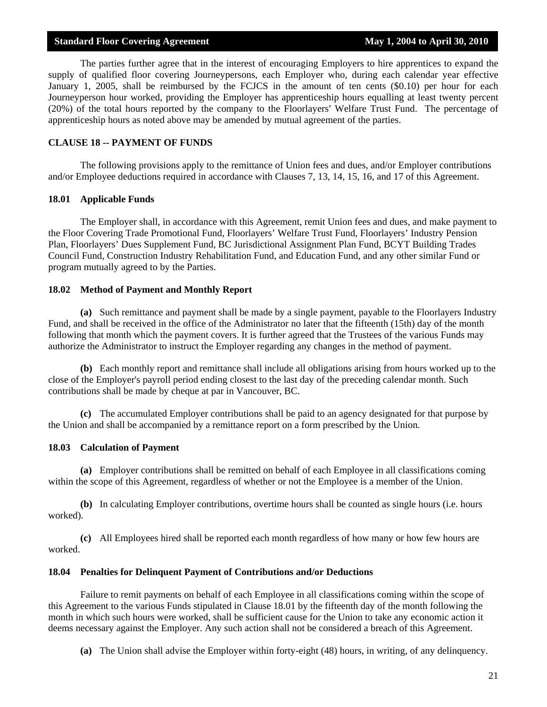The parties further agree that in the interest of encouraging Employers to hire apprentices to expand the supply of qualified floor covering Journeypersons, each Employer who, during each calendar year effective January 1, 2005, shall be reimbursed by the FCJCS in the amount of ten cents (\$0.10) per hour for each Journeyperson hour worked, providing the Employer has apprenticeship hours equalling at least twenty percent (20%) of the total hours reported by the company to the Floorlayers' Welfare Trust Fund. The percentage of apprenticeship hours as noted above may be amended by mutual agreement of the parties.

#### **CLAUSE 18 -- PAYMENT OF FUNDS**

 The following provisions apply to the remittance of Union fees and dues, and/or Employer contributions and/or Employee deductions required in accordance with Clauses 7, 13, 14, 15, 16, and 17 of this Agreement.

#### **18.01 Applicable Funds**

 The Employer shall, in accordance with this Agreement, remit Union fees and dues, and make payment to the Floor Covering Trade Promotional Fund, Floorlayers' Welfare Trust Fund, Floorlayers' Industry Pension Plan, Floorlayers' Dues Supplement Fund, BC Jurisdictional Assignment Plan Fund, BCYT Building Trades Council Fund, Construction Industry Rehabilitation Fund, and Education Fund, and any other similar Fund or program mutually agreed to by the Parties.

#### **18.02 Method of Payment and Monthly Report**

**(a)** Such remittance and payment shall be made by a single payment, payable to the Floorlayers Industry Fund, and shall be received in the office of the Administrator no later that the fifteenth (15th) day of the month following that month which the payment covers. It is further agreed that the Trustees of the various Funds may authorize the Administrator to instruct the Employer regarding any changes in the method of payment.

**(b)** Each monthly report and remittance shall include all obligations arising from hours worked up to the close of the Employer's payroll period ending closest to the last day of the preceding calendar month. Such contributions shall be made by cheque at par in Vancouver, BC.

**(c)** The accumulated Employer contributions shall be paid to an agency designated for that purpose by the Union and shall be accompanied by a remittance report on a form prescribed by the Union.

#### **18.03 Calculation of Payment**

**(a)** Employer contributions shall be remitted on behalf of each Employee in all classifications coming within the scope of this Agreement, regardless of whether or not the Employee is a member of the Union.

**(b)** In calculating Employer contributions, overtime hours shall be counted as single hours (i.e. hours worked).

**(c)** All Employees hired shall be reported each month regardless of how many or how few hours are worked.

#### **18.04 Penalties for Delinquent Payment of Contributions and/or Deductions**

 Failure to remit payments on behalf of each Employee in all classifications coming within the scope of this Agreement to the various Funds stipulated in Clause 18.01 by the fifteenth day of the month following the month in which such hours were worked, shall be sufficient cause for the Union to take any economic action it deems necessary against the Employer. Any such action shall not be considered a breach of this Agreement.

**(a)** The Union shall advise the Employer within forty-eight (48) hours, in writing, of any delinquency.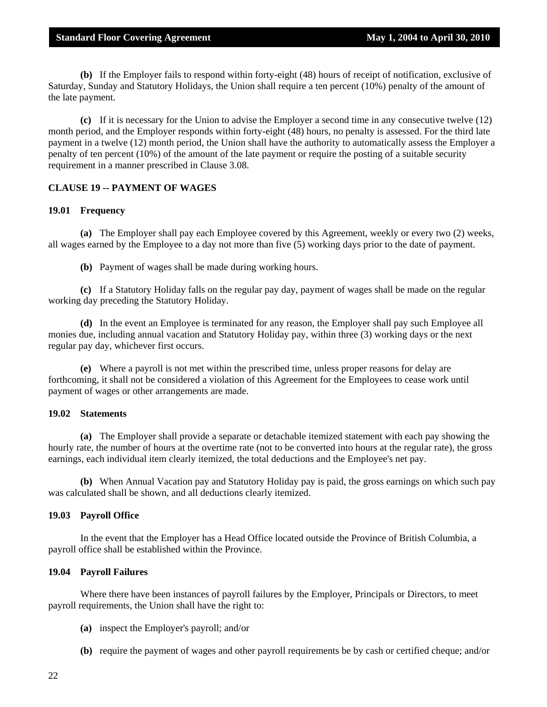**(b)** If the Employer fails to respond within forty-eight (48) hours of receipt of notification, exclusive of Saturday, Sunday and Statutory Holidays, the Union shall require a ten percent (10%) penalty of the amount of the late payment.

**(c)** If it is necessary for the Union to advise the Employer a second time in any consecutive twelve (12) month period, and the Employer responds within forty-eight (48) hours, no penalty is assessed. For the third late payment in a twelve (12) month period, the Union shall have the authority to automatically assess the Employer a penalty of ten percent (10%) of the amount of the late payment or require the posting of a suitable security requirement in a manner prescribed in Clause 3.08.

#### **CLAUSE 19 -- PAYMENT OF WAGES**

#### **19.01 Frequency**

**(a)** The Employer shall pay each Employee covered by this Agreement, weekly or every two (2) weeks, all wages earned by the Employee to a day not more than five (5) working days prior to the date of payment.

**(b)** Payment of wages shall be made during working hours.

**(c)** If a Statutory Holiday falls on the regular pay day, payment of wages shall be made on the regular working day preceding the Statutory Holiday.

**(d)** In the event an Employee is terminated for any reason, the Employer shall pay such Employee all monies due, including annual vacation and Statutory Holiday pay, within three (3) working days or the next regular pay day, whichever first occurs.

**(e)** Where a payroll is not met within the prescribed time, unless proper reasons for delay are forthcoming, it shall not be considered a violation of this Agreement for the Employees to cease work until payment of wages or other arrangements are made.

#### **19.02 Statements**

**(a)** The Employer shall provide a separate or detachable itemized statement with each pay showing the hourly rate, the number of hours at the overtime rate (not to be converted into hours at the regular rate), the gross earnings, each individual item clearly itemized, the total deductions and the Employee's net pay.

**(b)** When Annual Vacation pay and Statutory Holiday pay is paid, the gross earnings on which such pay was calculated shall be shown, and all deductions clearly itemized.

#### **19.03 Payroll Office**

 In the event that the Employer has a Head Office located outside the Province of British Columbia, a payroll office shall be established within the Province.

#### **19.04 Payroll Failures**

 Where there have been instances of payroll failures by the Employer, Principals or Directors, to meet payroll requirements, the Union shall have the right to:

- **(a)** inspect the Employer's payroll; and/or
- **(b)** require the payment of wages and other payroll requirements be by cash or certified cheque; and/or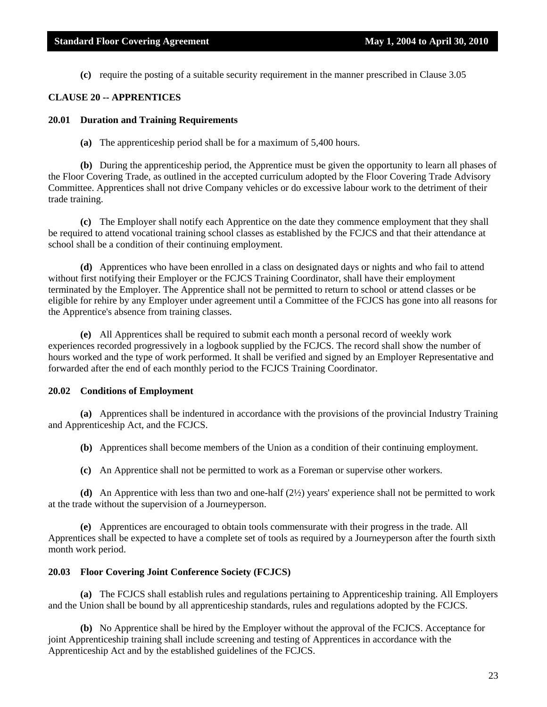**(c)** require the posting of a suitable security requirement in the manner prescribed in Clause 3.05

#### **CLAUSE 20 -- APPRENTICES**

#### **20.01 Duration and Training Requirements**

**(a)** The apprenticeship period shall be for a maximum of 5,400 hours.

**(b)** During the apprenticeship period, the Apprentice must be given the opportunity to learn all phases of the Floor Covering Trade, as outlined in the accepted curriculum adopted by the Floor Covering Trade Advisory Committee. Apprentices shall not drive Company vehicles or do excessive labour work to the detriment of their trade training.

**(c)** The Employer shall notify each Apprentice on the date they commence employment that they shall be required to attend vocational training school classes as established by the FCJCS and that their attendance at school shall be a condition of their continuing employment.

**(d)** Apprentices who have been enrolled in a class on designated days or nights and who fail to attend without first notifying their Employer or the FCJCS Training Coordinator, shall have their employment terminated by the Employer. The Apprentice shall not be permitted to return to school or attend classes or be eligible for rehire by any Employer under agreement until a Committee of the FCJCS has gone into all reasons for the Apprentice's absence from training classes.

**(e)** All Apprentices shall be required to submit each month a personal record of weekly work experiences recorded progressively in a logbook supplied by the FCJCS. The record shall show the number of hours worked and the type of work performed. It shall be verified and signed by an Employer Representative and forwarded after the end of each monthly period to the FCJCS Training Coordinator.

#### **20.02 Conditions of Employment**

**(a)** Apprentices shall be indentured in accordance with the provisions of the provincial Industry Training and Apprenticeship Act, and the FCJCS.

**(b)** Apprentices shall become members of the Union as a condition of their continuing employment.

**(c)** An Apprentice shall not be permitted to work as a Foreman or supervise other workers.

**(d)** An Apprentice with less than two and one-half (2½) years' experience shall not be permitted to work at the trade without the supervision of a Journeyperson.

**(e)** Apprentices are encouraged to obtain tools commensurate with their progress in the trade. All Apprentices shall be expected to have a complete set of tools as required by a Journeyperson after the fourth sixth month work period.

#### **20.03 Floor Covering Joint Conference Society (FCJCS)**

**(a)** The FCJCS shall establish rules and regulations pertaining to Apprenticeship training. All Employers and the Union shall be bound by all apprenticeship standards, rules and regulations adopted by the FCJCS.

**(b)** No Apprentice shall be hired by the Employer without the approval of the FCJCS. Acceptance for joint Apprenticeship training shall include screening and testing of Apprentices in accordance with the Apprenticeship Act and by the established guidelines of the FCJCS.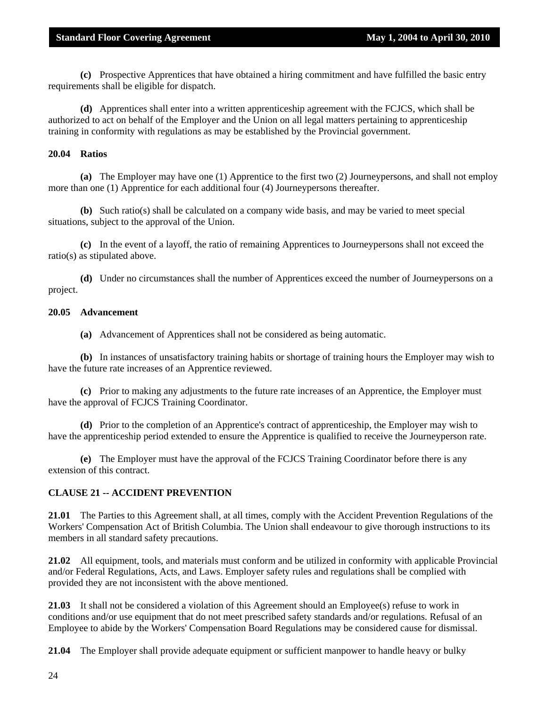**(c)** Prospective Apprentices that have obtained a hiring commitment and have fulfilled the basic entry requirements shall be eligible for dispatch.

**(d)** Apprentices shall enter into a written apprenticeship agreement with the FCJCS, which shall be authorized to act on behalf of the Employer and the Union on all legal matters pertaining to apprenticeship training in conformity with regulations as may be established by the Provincial government.

#### **20.04 Ratios**

**(a)** The Employer may have one (1) Apprentice to the first two (2) Journeypersons, and shall not employ more than one (1) Apprentice for each additional four (4) Journeypersons thereafter.

**(b)** Such ratio(s) shall be calculated on a company wide basis, and may be varied to meet special situations, subject to the approval of the Union.

**(c)** In the event of a layoff, the ratio of remaining Apprentices to Journeypersons shall not exceed the ratio(s) as stipulated above.

**(d)** Under no circumstances shall the number of Apprentices exceed the number of Journeypersons on a project.

#### **20.05 Advancement**

**(a)** Advancement of Apprentices shall not be considered as being automatic.

**(b)** In instances of unsatisfactory training habits or shortage of training hours the Employer may wish to have the future rate increases of an Apprentice reviewed.

**(c)** Prior to making any adjustments to the future rate increases of an Apprentice, the Employer must have the approval of FCJCS Training Coordinator.

**(d)** Prior to the completion of an Apprentice's contract of apprenticeship, the Employer may wish to have the apprenticeship period extended to ensure the Apprentice is qualified to receive the Journeyperson rate.

**(e)** The Employer must have the approval of the FCJCS Training Coordinator before there is any extension of this contract.

#### **CLAUSE 21 -- ACCIDENT PREVENTION**

**21.01** The Parties to this Agreement shall, at all times, comply with the Accident Prevention Regulations of the Workers' Compensation Act of British Columbia. The Union shall endeavour to give thorough instructions to its members in all standard safety precautions.

**21.02** All equipment, tools, and materials must conform and be utilized in conformity with applicable Provincial and/or Federal Regulations, Acts, and Laws. Employer safety rules and regulations shall be complied with provided they are not inconsistent with the above mentioned.

**21.03** It shall not be considered a violation of this Agreement should an Employee(s) refuse to work in conditions and/or use equipment that do not meet prescribed safety standards and/or regulations. Refusal of an Employee to abide by the Workers' Compensation Board Regulations may be considered cause for dismissal.

**21.04** The Employer shall provide adequate equipment or sufficient manpower to handle heavy or bulky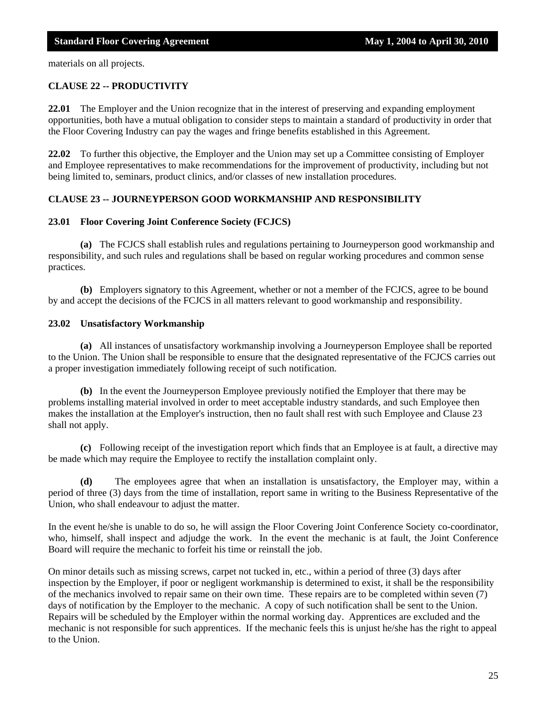materials on all projects.

#### **CLAUSE 22 -- PRODUCTIVITY**

**22.01** The Employer and the Union recognize that in the interest of preserving and expanding employment opportunities, both have a mutual obligation to consider steps to maintain a standard of productivity in order that the Floor Covering Industry can pay the wages and fringe benefits established in this Agreement.

**22.02** To further this objective, the Employer and the Union may set up a Committee consisting of Employer and Employee representatives to make recommendations for the improvement of productivity, including but not being limited to, seminars, product clinics, and/or classes of new installation procedures.

#### **CLAUSE 23 -- JOURNEYPERSON GOOD WORKMANSHIP AND RESPONSIBILITY**

#### **23.01 Floor Covering Joint Conference Society (FCJCS)**

**(a)** The FCJCS shall establish rules and regulations pertaining to Journeyperson good workmanship and responsibility, and such rules and regulations shall be based on regular working procedures and common sense practices.

**(b)** Employers signatory to this Agreement, whether or not a member of the FCJCS, agree to be bound by and accept the decisions of the FCJCS in all matters relevant to good workmanship and responsibility.

#### **23.02 Unsatisfactory Workmanship**

**(a)** All instances of unsatisfactory workmanship involving a Journeyperson Employee shall be reported to the Union. The Union shall be responsible to ensure that the designated representative of the FCJCS carries out a proper investigation immediately following receipt of such notification.

**(b)** In the event the Journeyperson Employee previously notified the Employer that there may be problems installing material involved in order to meet acceptable industry standards, and such Employee then makes the installation at the Employer's instruction, then no fault shall rest with such Employee and Clause 23 shall not apply.

**(c)** Following receipt of the investigation report which finds that an Employee is at fault, a directive may be made which may require the Employee to rectify the installation complaint only.

**(d)** The employees agree that when an installation is unsatisfactory, the Employer may, within a period of three (3) days from the time of installation, report same in writing to the Business Representative of the Union, who shall endeavour to adjust the matter.

In the event he/she is unable to do so, he will assign the Floor Covering Joint Conference Society co-coordinator, who, himself, shall inspect and adjudge the work. In the event the mechanic is at fault, the Joint Conference Board will require the mechanic to forfeit his time or reinstall the job.

On minor details such as missing screws, carpet not tucked in, etc., within a period of three (3) days after inspection by the Employer, if poor or negligent workmanship is determined to exist, it shall be the responsibility of the mechanics involved to repair same on their own time. These repairs are to be completed within seven (7) days of notification by the Employer to the mechanic. A copy of such notification shall be sent to the Union. Repairs will be scheduled by the Employer within the normal working day. Apprentices are excluded and the mechanic is not responsible for such apprentices. If the mechanic feels this is unjust he/she has the right to appeal to the Union.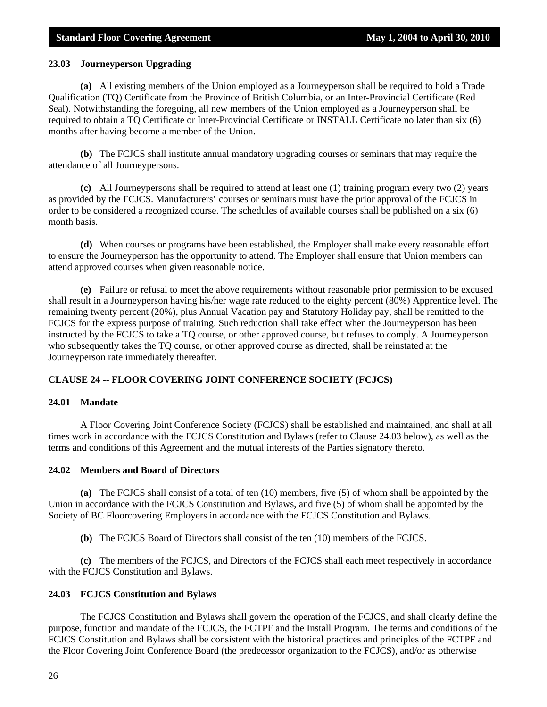#### **23.03 Journeyperson Upgrading**

**(a)** All existing members of the Union employed as a Journeyperson shall be required to hold a Trade Qualification (TQ) Certificate from the Province of British Columbia, or an Inter-Provincial Certificate (Red Seal). Notwithstanding the foregoing, all new members of the Union employed as a Journeyperson shall be required to obtain a TQ Certificate or Inter-Provincial Certificate or INSTALL Certificate no later than six (6) months after having become a member of the Union.

**(b)** The FCJCS shall institute annual mandatory upgrading courses or seminars that may require the attendance of all Journeypersons.

**(c)** All Journeypersons shall be required to attend at least one (1) training program every two (2) years as provided by the FCJCS. Manufacturers' courses or seminars must have the prior approval of the FCJCS in order to be considered a recognized course. The schedules of available courses shall be published on a six (6) month basis.

**(d)** When courses or programs have been established, the Employer shall make every reasonable effort to ensure the Journeyperson has the opportunity to attend. The Employer shall ensure that Union members can attend approved courses when given reasonable notice.

**(e)** Failure or refusal to meet the above requirements without reasonable prior permission to be excused shall result in a Journeyperson having his/her wage rate reduced to the eighty percent (80%) Apprentice level. The remaining twenty percent (20%), plus Annual Vacation pay and Statutory Holiday pay, shall be remitted to the FCJCS for the express purpose of training. Such reduction shall take effect when the Journeyperson has been instructed by the FCJCS to take a TQ course, or other approved course, but refuses to comply. A Journeyperson who subsequently takes the TQ course, or other approved course as directed, shall be reinstated at the Journeyperson rate immediately thereafter.

#### **CLAUSE 24 -- FLOOR COVERING JOINT CONFERENCE SOCIETY (FCJCS)**

#### **24.01 Mandate**

 A Floor Covering Joint Conference Society (FCJCS) shall be established and maintained, and shall at all times work in accordance with the FCJCS Constitution and Bylaws (refer to Clause 24.03 below), as well as the terms and conditions of this Agreement and the mutual interests of the Parties signatory thereto.

#### **24.02 Members and Board of Directors**

**(a)** The FCJCS shall consist of a total of ten (10) members, five (5) of whom shall be appointed by the Union in accordance with the FCJCS Constitution and Bylaws, and five (5) of whom shall be appointed by the Society of BC Floorcovering Employers in accordance with the FCJCS Constitution and Bylaws.

**(b)** The FCJCS Board of Directors shall consist of the ten (10) members of the FCJCS.

**(c)** The members of the FCJCS, and Directors of the FCJCS shall each meet respectively in accordance with the FCJCS Constitution and Bylaws.

#### **24.03 FCJCS Constitution and Bylaws**

 The FCJCS Constitution and Bylaws shall govern the operation of the FCJCS, and shall clearly define the purpose, function and mandate of the FCJCS, the FCTPF and the Install Program. The terms and conditions of the FCJCS Constitution and Bylaws shall be consistent with the historical practices and principles of the FCTPF and the Floor Covering Joint Conference Board (the predecessor organization to the FCJCS), and/or as otherwise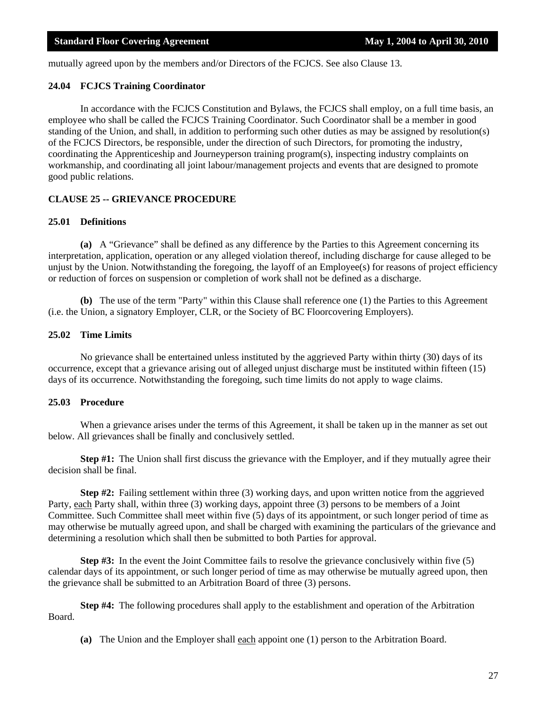mutually agreed upon by the members and/or Directors of the FCJCS. See also Clause 13.

#### **24.04 FCJCS Training Coordinator**

 In accordance with the FCJCS Constitution and Bylaws, the FCJCS shall employ, on a full time basis, an employee who shall be called the FCJCS Training Coordinator. Such Coordinator shall be a member in good standing of the Union, and shall, in addition to performing such other duties as may be assigned by resolution(s) of the FCJCS Directors, be responsible, under the direction of such Directors, for promoting the industry, coordinating the Apprenticeship and Journeyperson training program(s), inspecting industry complaints on workmanship, and coordinating all joint labour/management projects and events that are designed to promote good public relations.

#### **CLAUSE 25 -- GRIEVANCE PROCEDURE**

#### **25.01 Definitions**

**(a)** A "Grievance" shall be defined as any difference by the Parties to this Agreement concerning its interpretation, application, operation or any alleged violation thereof, including discharge for cause alleged to be unjust by the Union. Notwithstanding the foregoing, the layoff of an Employee(s) for reasons of project efficiency or reduction of forces on suspension or completion of work shall not be defined as a discharge.

**(b)** The use of the term "Party" within this Clause shall reference one (1) the Parties to this Agreement (i.e. the Union, a signatory Employer, CLR, or the Society of BC Floorcovering Employers).

#### **25.02 Time Limits**

 No grievance shall be entertained unless instituted by the aggrieved Party within thirty (30) days of its occurrence, except that a grievance arising out of alleged unjust discharge must be instituted within fifteen (15) days of its occurrence. Notwithstanding the foregoing, such time limits do not apply to wage claims.

#### **25.03 Procedure**

 When a grievance arises under the terms of this Agreement, it shall be taken up in the manner as set out below. All grievances shall be finally and conclusively settled.

**Step #1:** The Union shall first discuss the grievance with the Employer, and if they mutually agree their decision shall be final.

**Step #2:** Failing settlement within three (3) working days, and upon written notice from the aggrieved Party, each Party shall, within three (3) working days, appoint three (3) persons to be members of a Joint Committee. Such Committee shall meet within five (5) days of its appointment, or such longer period of time as may otherwise be mutually agreed upon, and shall be charged with examining the particulars of the grievance and determining a resolution which shall then be submitted to both Parties for approval.

**Step #3:** In the event the Joint Committee fails to resolve the grievance conclusively within five (5) calendar days of its appointment, or such longer period of time as may otherwise be mutually agreed upon, then the grievance shall be submitted to an Arbitration Board of three (3) persons.

**Step #4:** The following procedures shall apply to the establishment and operation of the Arbitration Board.

 **(a)** The Union and the Employer shall each appoint one (1) person to the Arbitration Board.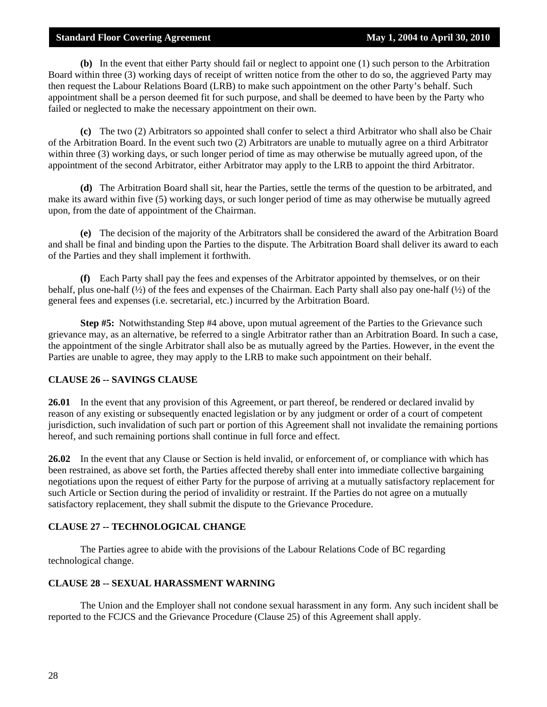**(b)** In the event that either Party should fail or neglect to appoint one (1) such person to the Arbitration Board within three (3) working days of receipt of written notice from the other to do so, the aggrieved Party may then request the Labour Relations Board (LRB) to make such appointment on the other Party's behalf. Such appointment shall be a person deemed fit for such purpose, and shall be deemed to have been by the Party who failed or neglected to make the necessary appointment on their own.

**(c)** The two (2) Arbitrators so appointed shall confer to select a third Arbitrator who shall also be Chair of the Arbitration Board. In the event such two (2) Arbitrators are unable to mutually agree on a third Arbitrator within three (3) working days, or such longer period of time as may otherwise be mutually agreed upon, of the appointment of the second Arbitrator, either Arbitrator may apply to the LRB to appoint the third Arbitrator.

**(d)** The Arbitration Board shall sit, hear the Parties, settle the terms of the question to be arbitrated, and make its award within five (5) working days, or such longer period of time as may otherwise be mutually agreed upon, from the date of appointment of the Chairman.

**(e)** The decision of the majority of the Arbitrators shall be considered the award of the Arbitration Board and shall be final and binding upon the Parties to the dispute. The Arbitration Board shall deliver its award to each of the Parties and they shall implement it forthwith.

**(f)** Each Party shall pay the fees and expenses of the Arbitrator appointed by themselves, or on their behalf, plus one-half (½) of the fees and expenses of the Chairman. Each Party shall also pay one-half (½) of the general fees and expenses (i.e. secretarial, etc.) incurred by the Arbitration Board.

**Step #5:** Notwithstanding Step #4 above, upon mutual agreement of the Parties to the Grievance such grievance may, as an alternative, be referred to a single Arbitrator rather than an Arbitration Board. In such a case, the appointment of the single Arbitrator shall also be as mutually agreed by the Parties. However, in the event the Parties are unable to agree, they may apply to the LRB to make such appointment on their behalf.

#### **CLAUSE 26 -- SAVINGS CLAUSE**

**26.01** In the event that any provision of this Agreement, or part thereof, be rendered or declared invalid by reason of any existing or subsequently enacted legislation or by any judgment or order of a court of competent jurisdiction, such invalidation of such part or portion of this Agreement shall not invalidate the remaining portions hereof, and such remaining portions shall continue in full force and effect.

**26.02** In the event that any Clause or Section is held invalid, or enforcement of, or compliance with which has been restrained, as above set forth, the Parties affected thereby shall enter into immediate collective bargaining negotiations upon the request of either Party for the purpose of arriving at a mutually satisfactory replacement for such Article or Section during the period of invalidity or restraint. If the Parties do not agree on a mutually satisfactory replacement, they shall submit the dispute to the Grievance Procedure.

#### **CLAUSE 27 -- TECHNOLOGICAL CHANGE**

 The Parties agree to abide with the provisions of the Labour Relations Code of BC regarding technological change.

#### **CLAUSE 28 -- SEXUAL HARASSMENT WARNING**

 The Union and the Employer shall not condone sexual harassment in any form. Any such incident shall be reported to the FCJCS and the Grievance Procedure (Clause 25) of this Agreement shall apply.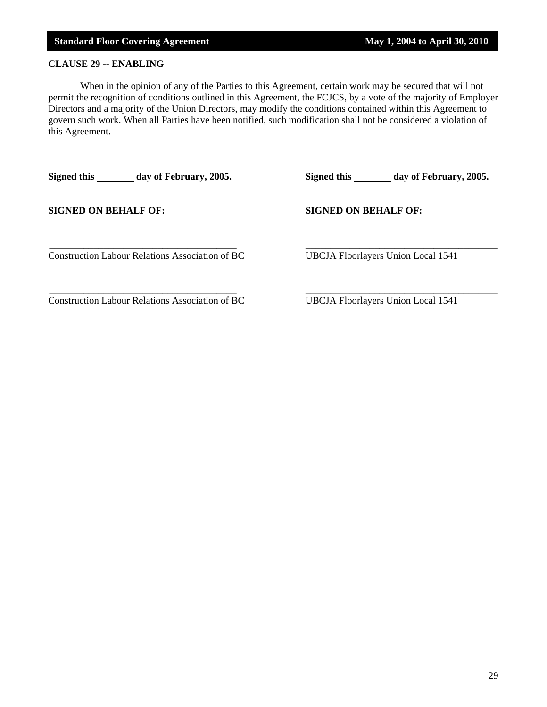### **CLAUSE 29 -- ENABLING**

 When in the opinion of any of the Parties to this Agreement, certain work may be secured that will not permit the recognition of conditions outlined in this Agreement, the FCJCS, by a vote of the majority of Employer Directors and a majority of the Union Directors, may modify the conditions contained within this Agreement to govern such work. When all Parties have been notified, such modification shall not be considered a violation of this Agreement.

Signed this \_\_\_\_\_\_\_ day of February, 2005. Signed this \_\_\_\_\_\_ day of February, 2005. **SIGNED ON BEHALF OF: SIGNED ON BEHALF OF:** \_\_\_\_\_\_\_\_\_\_\_\_\_\_\_\_\_\_\_\_\_\_\_\_\_\_\_\_\_\_\_\_\_\_\_\_\_\_ \_\_\_\_\_\_\_\_\_\_\_\_\_\_\_\_\_\_\_\_\_\_\_\_\_\_\_\_\_\_\_\_\_\_\_\_\_\_\_ Construction Labour Relations Association of BC UBCJA Floorlayers Union Local 1541 \_\_\_\_\_\_\_\_\_\_\_\_\_\_\_\_\_\_\_\_\_\_\_\_\_\_\_\_\_\_\_\_\_\_\_\_\_\_ \_\_\_\_\_\_\_\_\_\_\_\_\_\_\_\_\_\_\_\_\_\_\_\_\_\_\_\_\_\_\_\_\_\_\_\_\_\_\_

Construction Labour Relations Association of BC UBCJA Floorlayers Union Local 1541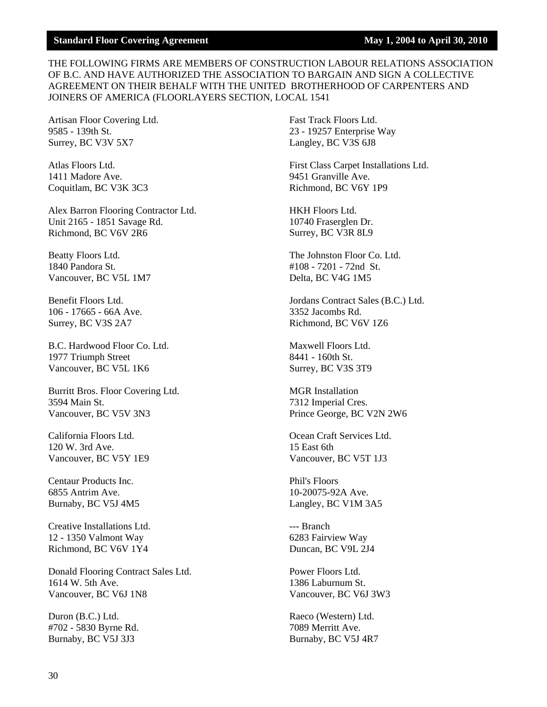#### THE FOLLOWING FIRMS ARE MEMBERS OF CONSTRUCTION LABOUR RELATIONS ASSOCIATION OF B.C. AND HAVE AUTHORIZED THE ASSOCIATION TO BARGAIN AND SIGN A COLLECTIVE AGREEMENT ON THEIR BEHALF WITH THE UNITED BROTHERHOOD OF CARPENTERS AND JOINERS OF AMERICA (FLOORLAYERS SECTION, LOCAL 1541

Artisan Floor Covering Ltd. 9585 - 139th St. Surrey, BC V3V 5X7

Atlas Floors Ltd. 1411 Madore Ave. Coquitlam, BC V3K 3C3

Alex Barron Flooring Contractor Ltd. Unit 2165 - 1851 Savage Rd. Richmond, BC V6V 2R6

Beatty Floors Ltd. 1840 Pandora St. Vancouver, BC V5L 1M7

Benefit Floors Ltd. 106 - 17665 - 66A Ave. Surrey, BC V3S 2A7

B.C. Hardwood Floor Co. Ltd. 1977 Triumph Street Vancouver, BC V5L 1K6

Burritt Bros. Floor Covering Ltd. 3594 Main St. Vancouver, BC V5V 3N3

California Floors Ltd. 120 W. 3rd Ave. Vancouver, BC V5Y 1E9

Centaur Products Inc. 6855 Antrim Ave. Burnaby, BC V5J 4M5

Creative Installations Ltd. 12 - 1350 Valmont Way Richmond, BC V6V 1Y4

Donald Flooring Contract Sales Ltd. 1614 W. 5th Ave. Vancouver, BC V6J 1N8

Duron (B.C.) Ltd. #702 - 5830 Byrne Rd. Burnaby, BC V5J 3J3

Fast Track Floors Ltd. 23 - 19257 Enterprise Way Langley, BC V3S 6J8

First Class Carpet Installations Ltd. 9451 Granville Ave. Richmond, BC V6Y 1P9

HKH Floors Ltd. 10740 Fraserglen Dr. Surrey, BC V3R 8L9

The Johnston Floor Co. Ltd. #108 - 7201 - 72nd St. Delta, BC V4G 1M5

Jordans Contract Sales (B.C.) Ltd. 3352 Jacombs Rd. Richmond, BC V6V 1Z6

Maxwell Floors Ltd. 8441 - 160th St. Surrey, BC V3S 3T9

MGR Installation 7312 Imperial Cres. Prince George, BC V2N 2W6

Ocean Craft Services Ltd. 15 East 6th Vancouver, BC V5T 1J3

Phil's Floors 10-20075-92A Ave. Langley, BC V1M 3A5

--- Branch 6283 Fairview Way Duncan, BC V9L 2J4

Power Floors Ltd. 1386 Laburnum St. Vancouver, BC V6J 3W3

Raeco (Western) Ltd. 7089 Merritt Ave. Burnaby, BC V5J 4R7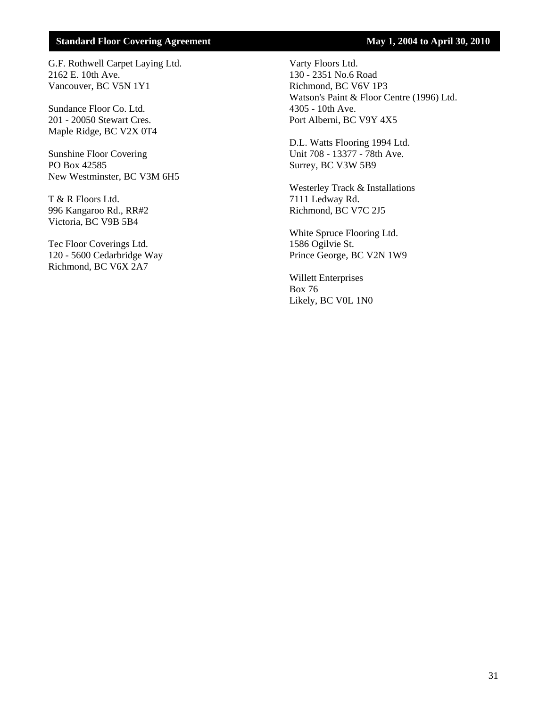G.F. Rothwell Carpet Laying Ltd. 2162 E. 10th Ave. Vancouver, BC V5N 1Y1

Sundance Floor Co. Ltd. 201 - 20050 Stewart Cres. Maple Ridge, BC V2X 0T4

Sunshine Floor Covering PO Box 42585 New Westminster, BC V3M 6H5

T & R Floors Ltd. 996 Kangaroo Rd., RR#2 Victoria, BC V9B 5B4

Tec Floor Coverings Ltd. 120 - 5600 Cedarbridge Way Richmond, BC V6X 2A7

Varty Floors Ltd. 130 - 2351 No.6 Road Richmond, BC V6V 1P3 Watson's Paint & Floor Centre (1996) Ltd. 4305 - 10th Ave. Port Alberni, BC V9Y 4X5

D.L. Watts Flooring 1994 Ltd. Unit 708 - 13377 - 78th Ave. Surrey, BC V3W 5B9

Westerley Track & Installations 7111 Ledway Rd. Richmond, BC V7C 2J5

White Spruce Flooring Ltd. 1586 Ogilvie St. Prince George, BC V2N 1W9

Willett Enterprises Box 76 Likely, BC V0L 1N0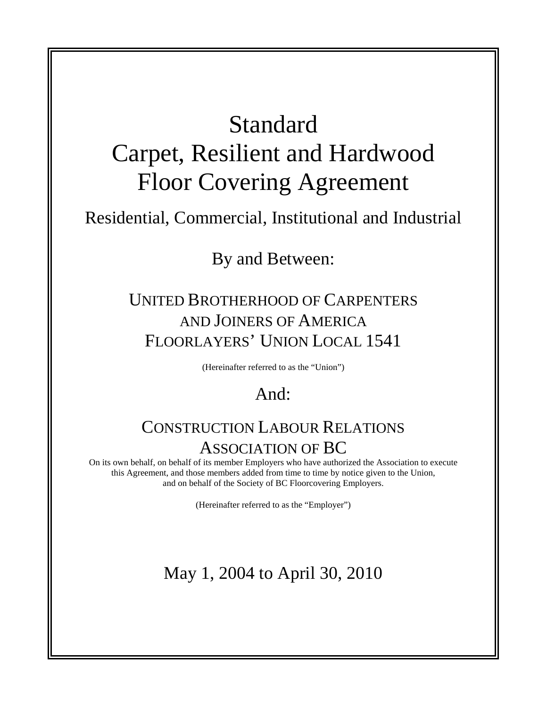## Standard

# Carpet, Resilient and Hardwood Floor Covering Agreement

### Residential, Commercial, Institutional and Industrial

By and Between:

### UNITED BROTHERHOOD OF CARPENTERS AND JOINERS OF AMERICA FLOORLAYERS' UNION LOCAL 1541

(Hereinafter referred to as the "Union")

### And:

### CONSTRUCTION LABOUR RELATIONS ASSOCIATION OF BC

On its own behalf, on behalf of its member Employers who have authorized the Association to execute this Agreement, and those members added from time to time by notice given to the Union, and on behalf of the Society of BC Floorcovering Employers.

(Hereinafter referred to as the "Employer")

## May 1, 2004 to April 30, 2010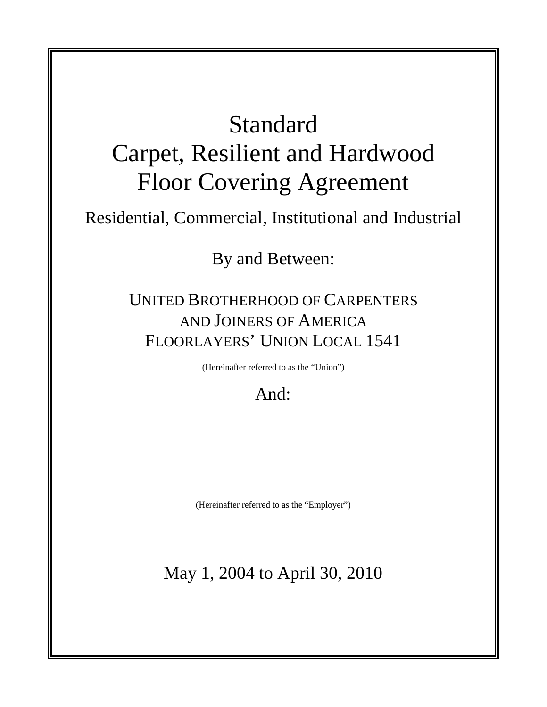# Standard Carpet, Resilient and Hardwood Floor Covering Agreement

### Residential, Commercial, Institutional and Industrial

By and Between:

### UNITED BROTHERHOOD OF CARPENTERS AND JOINERS OF AMERICA FLOORLAYERS' UNION LOCAL 1541

(Hereinafter referred to as the "Union")

### And:

(Hereinafter referred to as the "Employer")

### May 1, 2004 to April 30, 2010